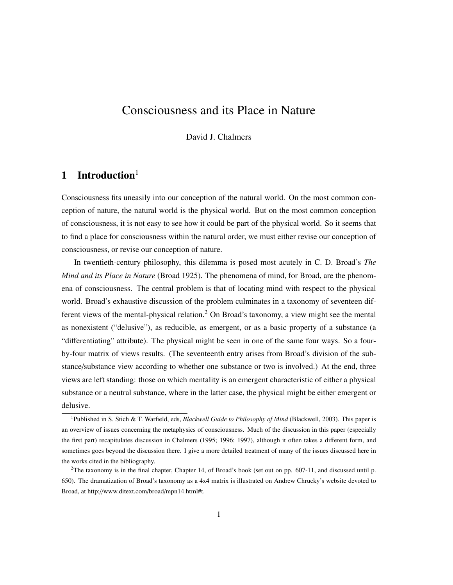# Consciousness and its Place in Nature

David J. Chalmers

## 1 Introduction $<sup>1</sup>$ </sup>

Consciousness fits uneasily into our conception of the natural world. On the most common conception of nature, the natural world is the physical world. But on the most common conception of consciousness, it is not easy to see how it could be part of the physical world. So it seems that to find a place for consciousness within the natural order, we must either revise our conception of consciousness, or revise our conception of nature.

In twentieth-century philosophy, this dilemma is posed most acutely in C. D. Broad's *The Mind and its Place in Nature* (Broad 1925). The phenomena of mind, for Broad, are the phenomena of consciousness. The central problem is that of locating mind with respect to the physical world. Broad's exhaustive discussion of the problem culminates in a taxonomy of seventeen different views of the mental-physical relation.<sup>2</sup> On Broad's taxonomy, a view might see the mental as nonexistent ("delusive"), as reducible, as emergent, or as a basic property of a substance (a "differentiating" attribute). The physical might be seen in one of the same four ways. So a fourby-four matrix of views results. (The seventeenth entry arises from Broad's division of the substance/substance view according to whether one substance or two is involved.) At the end, three views are left standing: those on which mentality is an emergent characteristic of either a physical substance or a neutral substance, where in the latter case, the physical might be either emergent or delusive.

<sup>1</sup>Published in S. Stich & T. Warfield, eds, *Blackwell Guide to Philosophy of Mind* (Blackwell, 2003). This paper is an overview of issues concerning the metaphysics of consciousness. Much of the discussion in this paper (especially the first part) recapitulates discussion in Chalmers (1995; 1996; 1997), although it often takes a different form, and sometimes goes beyond the discussion there. I give a more detailed treatment of many of the issues discussed here in the works cited in the bibliography.

<sup>&</sup>lt;sup>2</sup>The taxonomy is in the final chapter, Chapter 14, of Broad's book (set out on pp.  $607-11$ , and discussed until p. 650). The dramatization of Broad's taxonomy as a 4x4 matrix is illustrated on Andrew Chrucky's website devoted to Broad, at http://www.ditext.com/broad/mpn14.html#t.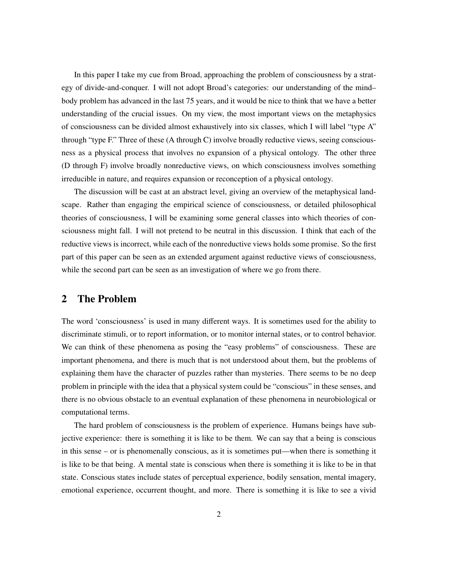In this paper I take my cue from Broad, approaching the problem of consciousness by a strategy of divide-and-conquer. I will not adopt Broad's categories: our understanding of the mind– body problem has advanced in the last 75 years, and it would be nice to think that we have a better understanding of the crucial issues. On my view, the most important views on the metaphysics of consciousness can be divided almost exhaustively into six classes, which I will label "type A" through "type F." Three of these (A through C) involve broadly reductive views, seeing consciousness as a physical process that involves no expansion of a physical ontology. The other three (D through F) involve broadly nonreductive views, on which consciousness involves something irreducible in nature, and requires expansion or reconception of a physical ontology.

The discussion will be cast at an abstract level, giving an overview of the metaphysical landscape. Rather than engaging the empirical science of consciousness, or detailed philosophical theories of consciousness, I will be examining some general classes into which theories of consciousness might fall. I will not pretend to be neutral in this discussion. I think that each of the reductive views is incorrect, while each of the nonreductive views holds some promise. So the first part of this paper can be seen as an extended argument against reductive views of consciousness, while the second part can be seen as an investigation of where we go from there.

### 2 The Problem

The word 'consciousness' is used in many different ways. It is sometimes used for the ability to discriminate stimuli, or to report information, or to monitor internal states, or to control behavior. We can think of these phenomena as posing the "easy problems" of consciousness. These are important phenomena, and there is much that is not understood about them, but the problems of explaining them have the character of puzzles rather than mysteries. There seems to be no deep problem in principle with the idea that a physical system could be "conscious" in these senses, and there is no obvious obstacle to an eventual explanation of these phenomena in neurobiological or computational terms.

The hard problem of consciousness is the problem of experience. Humans beings have subjective experience: there is something it is like to be them. We can say that a being is conscious in this sense – or is phenomenally conscious, as it is sometimes put—when there is something it is like to be that being. A mental state is conscious when there is something it is like to be in that state. Conscious states include states of perceptual experience, bodily sensation, mental imagery, emotional experience, occurrent thought, and more. There is something it is like to see a vivid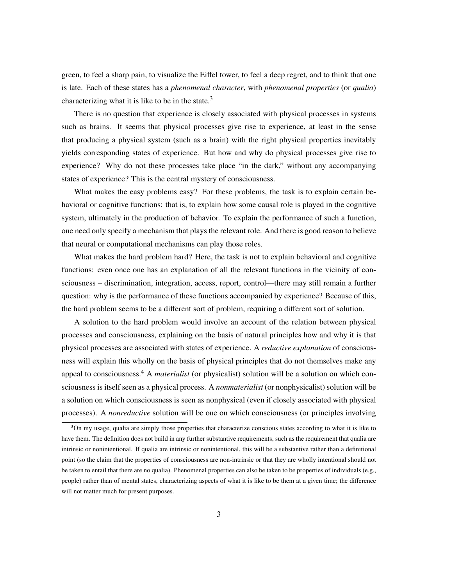green, to feel a sharp pain, to visualize the Eiffel tower, to feel a deep regret, and to think that one is late. Each of these states has a *phenomenal character*, with *phenomenal properties* (or *qualia*) characterizing what it is like to be in the state. $3$ 

There is no question that experience is closely associated with physical processes in systems such as brains. It seems that physical processes give rise to experience, at least in the sense that producing a physical system (such as a brain) with the right physical properties inevitably yields corresponding states of experience. But how and why do physical processes give rise to experience? Why do not these processes take place "in the dark," without any accompanying states of experience? This is the central mystery of consciousness.

What makes the easy problems easy? For these problems, the task is to explain certain behavioral or cognitive functions: that is, to explain how some causal role is played in the cognitive system, ultimately in the production of behavior. To explain the performance of such a function, one need only specify a mechanism that plays the relevant role. And there is good reason to believe that neural or computational mechanisms can play those roles.

What makes the hard problem hard? Here, the task is not to explain behavioral and cognitive functions: even once one has an explanation of all the relevant functions in the vicinity of consciousness – discrimination, integration, access, report, control—there may still remain a further question: why is the performance of these functions accompanied by experience? Because of this, the hard problem seems to be a different sort of problem, requiring a different sort of solution.

A solution to the hard problem would involve an account of the relation between physical processes and consciousness, explaining on the basis of natural principles how and why it is that physical processes are associated with states of experience. A *reductive explanation* of consciousness will explain this wholly on the basis of physical principles that do not themselves make any appeal to consciousness.<sup>4</sup> A *materialist* (or physicalist) solution will be a solution on which consciousness is itself seen as a physical process. A *nonmaterialist* (or nonphysicalist) solution will be a solution on which consciousness is seen as nonphysical (even if closely associated with physical processes). A *nonreductive* solution will be one on which consciousness (or principles involving

 $3$ On my usage, qualia are simply those properties that characterize conscious states according to what it is like to have them. The definition does not build in any further substantive requirements, such as the requirement that qualia are intrinsic or nonintentional. If qualia are intrinsic or nonintentional, this will be a substantive rather than a definitional point (so the claim that the properties of consciousness are non-intrinsic or that they are wholly intentional should not be taken to entail that there are no qualia). Phenomenal properties can also be taken to be properties of individuals (e.g., people) rather than of mental states, characterizing aspects of what it is like to be them at a given time; the difference will not matter much for present purposes.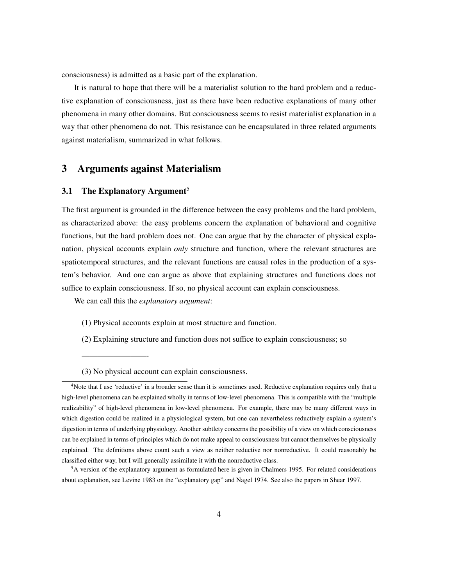consciousness) is admitted as a basic part of the explanation.

It is natural to hope that there will be a materialist solution to the hard problem and a reductive explanation of consciousness, just as there have been reductive explanations of many other phenomena in many other domains. But consciousness seems to resist materialist explanation in a way that other phenomena do not. This resistance can be encapsulated in three related arguments against materialism, summarized in what follows.

## 3 Arguments against Materialism

#### 3.1 The Explanatory Argument<sup>5</sup>

The first argument is grounded in the difference between the easy problems and the hard problem, as characterized above: the easy problems concern the explanation of behavioral and cognitive functions, but the hard problem does not. One can argue that by the character of physical explanation, physical accounts explain *only* structure and function, where the relevant structures are spatiotemporal structures, and the relevant functions are causal roles in the production of a system's behavior. And one can argue as above that explaining structures and functions does not suffice to explain consciousness. If so, no physical account can explain consciousness.

We can call this the *explanatory argument*:

————————-

- (1) Physical accounts explain at most structure and function.
- (2) Explaining structure and function does not suffice to explain consciousness; so

<sup>(3)</sup> No physical account can explain consciousness.

<sup>&</sup>lt;sup>4</sup>Note that I use 'reductive' in a broader sense than it is sometimes used. Reductive explanation requires only that a high-level phenomena can be explained wholly in terms of low-level phenomena. This is compatible with the "multiple realizability" of high-level phenomena in low-level phenomena. For example, there may be many different ways in which digestion could be realized in a physiological system, but one can nevertheless reductively explain a system's digestion in terms of underlying physiology. Another subtlety concerns the possibility of a view on which consciousness can be explained in terms of principles which do not make appeal to consciousness but cannot themselves be physically explained. The definitions above count such a view as neither reductive nor nonreductive. It could reasonably be classified either way, but I will generally assimilate it with the nonreductive class.

<sup>5</sup>A version of the explanatory argument as formulated here is given in Chalmers 1995. For related considerations about explanation, see Levine 1983 on the "explanatory gap" and Nagel 1974. See also the papers in Shear 1997.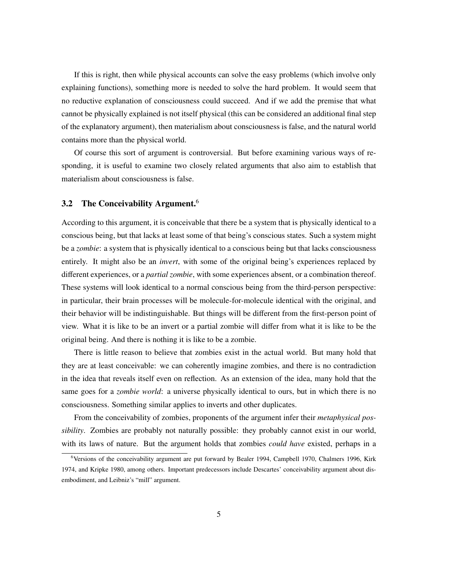If this is right, then while physical accounts can solve the easy problems (which involve only explaining functions), something more is needed to solve the hard problem. It would seem that no reductive explanation of consciousness could succeed. And if we add the premise that what cannot be physically explained is not itself physical (this can be considered an additional final step of the explanatory argument), then materialism about consciousness is false, and the natural world contains more than the physical world.

Of course this sort of argument is controversial. But before examining various ways of responding, it is useful to examine two closely related arguments that also aim to establish that materialism about consciousness is false.

#### 3.2 The Conceivability Argument.<sup>6</sup>

According to this argument, it is conceivable that there be a system that is physically identical to a conscious being, but that lacks at least some of that being's conscious states. Such a system might be a *zombie*: a system that is physically identical to a conscious being but that lacks consciousness entirely. It might also be an *invert*, with some of the original being's experiences replaced by different experiences, or a *partial zombie*, with some experiences absent, or a combination thereof. These systems will look identical to a normal conscious being from the third-person perspective: in particular, their brain processes will be molecule-for-molecule identical with the original, and their behavior will be indistinguishable. But things will be different from the first-person point of view. What it is like to be an invert or a partial zombie will differ from what it is like to be the original being. And there is nothing it is like to be a zombie.

There is little reason to believe that zombies exist in the actual world. But many hold that they are at least conceivable: we can coherently imagine zombies, and there is no contradiction in the idea that reveals itself even on reflection. As an extension of the idea, many hold that the same goes for a *zombie world*: a universe physically identical to ours, but in which there is no consciousness. Something similar applies to inverts and other duplicates.

From the conceivability of zombies, proponents of the argument infer their *metaphysical possibility*. Zombies are probably not naturally possible: they probably cannot exist in our world, with its laws of nature. But the argument holds that zombies *could have* existed, perhaps in a

<sup>6</sup>Versions of the conceivability argument are put forward by Bealer 1994, Campbell 1970, Chalmers 1996, Kirk 1974, and Kripke 1980, among others. Important predecessors include Descartes' conceivability argument about disembodiment, and Leibniz's "mill" argument.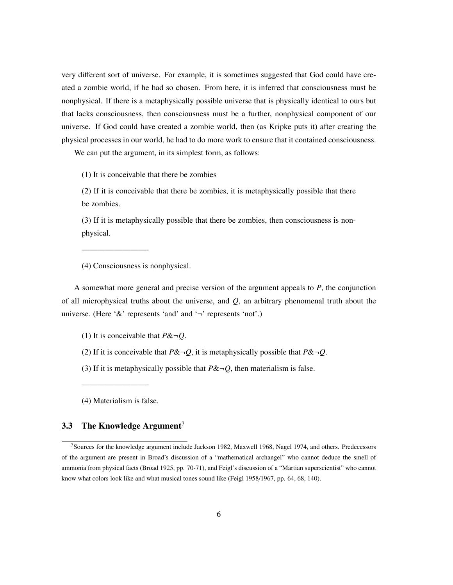very different sort of universe. For example, it is sometimes suggested that God could have created a zombie world, if he had so chosen. From here, it is inferred that consciousness must be nonphysical. If there is a metaphysically possible universe that is physically identical to ours but that lacks consciousness, then consciousness must be a further, nonphysical component of our universe. If God could have created a zombie world, then (as Kripke puts it) after creating the physical processes in our world, he had to do more work to ensure that it contained consciousness.

We can put the argument, in its simplest form, as follows:

(1) It is conceivable that there be zombies

(2) If it is conceivable that there be zombies, it is metaphysically possible that there be zombies.

(3) If it is metaphysically possible that there be zombies, then consciousness is nonphysical.

(4) Consciousness is nonphysical.

————————-

A somewhat more general and precise version of the argument appeals to *P*, the conjunction of all microphysical truths about the universe, and *Q*, an arbitrary phenomenal truth about the universe. (Here ' $\&$ ' represents 'and' and ' $\neg$ ' represents 'not'.)

- (1) It is conceivable that *P*&¬*Q*.
- (2) If it is conceivable that  $P\& \neg Q$ , it is metaphysically possible that  $P\& \neg Q$ .
- (3) If it is metaphysically possible that  $P\&\neg Q$ , then materialism is false.

(4) Materialism is false.

————————-

### 3.3 The Knowledge Argument<sup>7</sup>

<sup>7</sup>Sources for the knowledge argument include Jackson 1982, Maxwell 1968, Nagel 1974, and others. Predecessors of the argument are present in Broad's discussion of a "mathematical archangel" who cannot deduce the smell of ammonia from physical facts (Broad 1925, pp. 70-71), and Feigl's discussion of a "Martian superscientist" who cannot know what colors look like and what musical tones sound like (Feigl 1958/1967, pp. 64, 68, 140).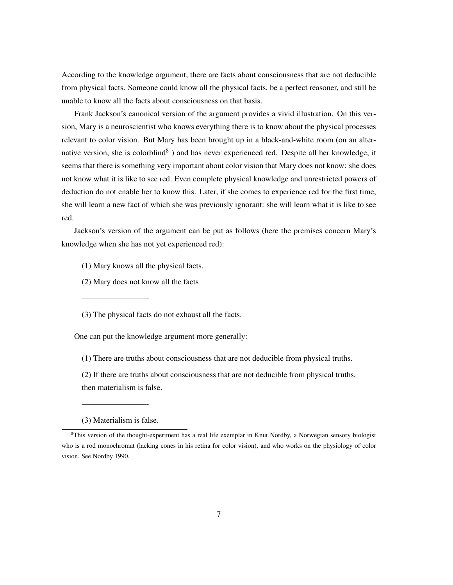According to the knowledge argument, there are facts about consciousness that are not deducible from physical facts. Someone could know all the physical facts, be a perfect reasoner, and still be unable to know all the facts about consciousness on that basis.

Frank Jackson's canonical version of the argument provides a vivid illustration. On this version, Mary is a neuroscientist who knows everything there is to know about the physical processes relevant to color vision. But Mary has been brought up in a black-and-white room (on an alternative version, she is colorblind<sup>8</sup>) and has never experienced red. Despite all her knowledge, it seems that there is something very important about color vision that Mary does not know: she does not know what it is like to see red. Even complete physical knowledge and unrestricted powers of deduction do not enable her to know this. Later, if she comes to experience red for the first time, she will learn a new fact of which she was previously ignorant: she will learn what it is like to see red.

Jackson's version of the argument can be put as follows (here the premises concern Mary's knowledge when she has not yet experienced red):

- (1) Mary knows all the physical facts.
- (2) Mary does not know all the facts

————————-

(3) The physical facts do not exhaust all the facts.

One can put the knowledge argument more generally:

(1) There are truths about consciousness that are not deducible from physical truths.

(2) If there are truths about consciousness that are not deducible from physical truths, then materialism is false.

(3) Materialism is false.

————————-

<sup>&</sup>lt;sup>8</sup>This version of the thought-experiment has a real life exemplar in Knut Nordby, a Norwegian sensory biologist who is a rod monochromat (lacking cones in his retina for color vision), and who works on the physiology of color vision. See Nordby 1990.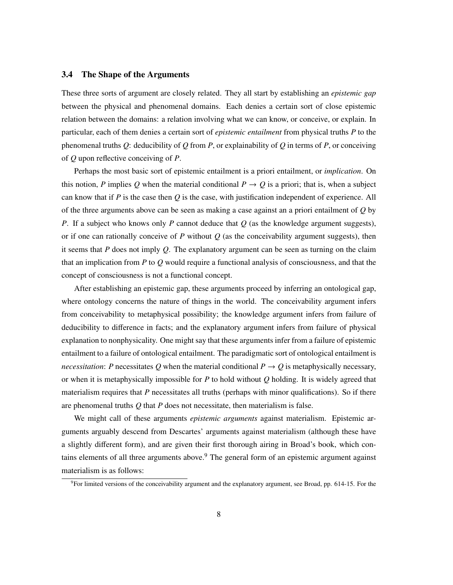#### 3.4 The Shape of the Arguments

These three sorts of argument are closely related. They all start by establishing an *epistemic gap* between the physical and phenomenal domains. Each denies a certain sort of close epistemic relation between the domains: a relation involving what we can know, or conceive, or explain. In particular, each of them denies a certain sort of *epistemic entailment* from physical truths *P* to the phenomenal truths *Q*: deducibility of *Q* from *P*, or explainability of *Q* in terms of *P*, or conceiving of *Q* upon reflective conceiving of *P*.

Perhaps the most basic sort of epistemic entailment is a priori entailment, or *implication*. On this notion, *P* implies *Q* when the material conditional  $P \rightarrow Q$  is a priori; that is, when a subject can know that if *P* is the case then *Q* is the case, with justification independent of experience. All of the three arguments above can be seen as making a case against an a priori entailment of *Q* by *P*. If a subject who knows only *P* cannot deduce that *Q* (as the knowledge argument suggests), or if one can rationally conceive of  $P$  without  $Q$  (as the conceivability argument suggests), then it seems that *P* does not imply *Q*. The explanatory argument can be seen as turning on the claim that an implication from *P* to *Q* would require a functional analysis of consciousness, and that the concept of consciousness is not a functional concept.

After establishing an epistemic gap, these arguments proceed by inferring an ontological gap, where ontology concerns the nature of things in the world. The conceivability argument infers from conceivability to metaphysical possibility; the knowledge argument infers from failure of deducibility to difference in facts; and the explanatory argument infers from failure of physical explanation to nonphysicality. One might say that these arguments infer from a failure of epistemic entailment to a failure of ontological entailment. The paradigmatic sort of ontological entailment is *necessitation*: *P* necessitates *Q* when the material conditional  $P \rightarrow Q$  is metaphysically necessary, or when it is metaphysically impossible for *P* to hold without *Q* holding. It is widely agreed that materialism requires that *P* necessitates all truths (perhaps with minor qualifications). So if there are phenomenal truths *Q* that *P* does not necessitate, then materialism is false.

We might call of these arguments *epistemic arguments* against materialism. Epistemic arguments arguably descend from Descartes' arguments against materialism (although these have a slightly different form), and are given their first thorough airing in Broad's book, which contains elements of all three arguments above.<sup>9</sup> The general form of an epistemic argument against materialism is as follows:

<sup>9</sup>For limited versions of the conceivability argument and the explanatory argument, see Broad, pp. 614-15. For the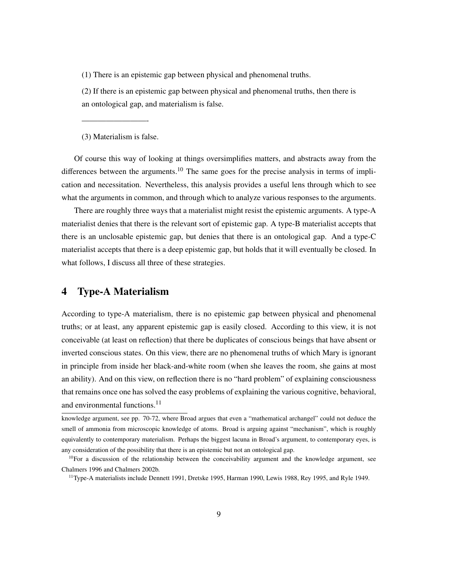(1) There is an epistemic gap between physical and phenomenal truths.

(2) If there is an epistemic gap between physical and phenomenal truths, then there is an ontological gap, and materialism is false.

(3) Materialism is false.

————————-

Of course this way of looking at things oversimplifies matters, and abstracts away from the differences between the arguments.<sup>10</sup> The same goes for the precise analysis in terms of implication and necessitation. Nevertheless, this analysis provides a useful lens through which to see what the arguments in common, and through which to analyze various responses to the arguments.

There are roughly three ways that a materialist might resist the epistemic arguments. A type-A materialist denies that there is the relevant sort of epistemic gap. A type-B materialist accepts that there is an unclosable epistemic gap, but denies that there is an ontological gap. And a type-C materialist accepts that there is a deep epistemic gap, but holds that it will eventually be closed. In what follows, I discuss all three of these strategies.

### 4 Type-A Materialism

According to type-A materialism, there is no epistemic gap between physical and phenomenal truths; or at least, any apparent epistemic gap is easily closed. According to this view, it is not conceivable (at least on reflection) that there be duplicates of conscious beings that have absent or inverted conscious states. On this view, there are no phenomenal truths of which Mary is ignorant in principle from inside her black-and-white room (when she leaves the room, she gains at most an ability). And on this view, on reflection there is no "hard problem" of explaining consciousness that remains once one has solved the easy problems of explaining the various cognitive, behavioral, and environmental functions.<sup>11</sup>

knowledge argument, see pp. 70-72, where Broad argues that even a "mathematical archangel" could not deduce the smell of ammonia from microscopic knowledge of atoms. Broad is arguing against "mechanism", which is roughly equivalently to contemporary materialism. Perhaps the biggest lacuna in Broad's argument, to contemporary eyes, is any consideration of the possibility that there is an epistemic but not an ontological gap.

 $10$ For a discussion of the relationship between the conceivability argument and the knowledge argument, see Chalmers 1996 and Chalmers 2002b.

<sup>11</sup>Type-A materialists include Dennett 1991, Dretske 1995, Harman 1990, Lewis 1988, Rey 1995, and Ryle 1949.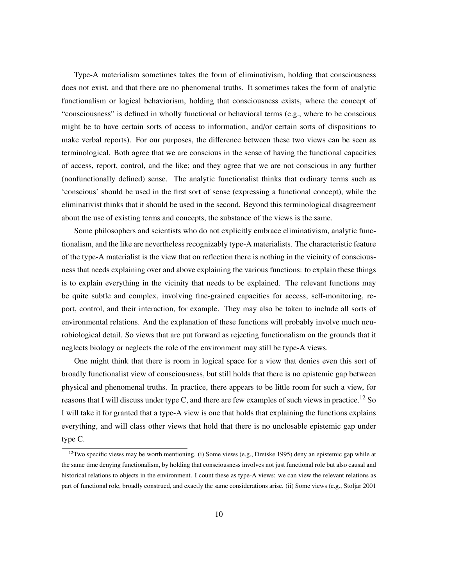Type-A materialism sometimes takes the form of eliminativism, holding that consciousness does not exist, and that there are no phenomenal truths. It sometimes takes the form of analytic functionalism or logical behaviorism, holding that consciousness exists, where the concept of "consciousness" is defined in wholly functional or behavioral terms (e.g., where to be conscious might be to have certain sorts of access to information, and/or certain sorts of dispositions to make verbal reports). For our purposes, the difference between these two views can be seen as terminological. Both agree that we are conscious in the sense of having the functional capacities of access, report, control, and the like; and they agree that we are not conscious in any further (nonfunctionally defined) sense. The analytic functionalist thinks that ordinary terms such as 'conscious' should be used in the first sort of sense (expressing a functional concept), while the eliminativist thinks that it should be used in the second. Beyond this terminological disagreement about the use of existing terms and concepts, the substance of the views is the same.

Some philosophers and scientists who do not explicitly embrace eliminativism, analytic functionalism, and the like are nevertheless recognizably type-A materialists. The characteristic feature of the type-A materialist is the view that on reflection there is nothing in the vicinity of consciousness that needs explaining over and above explaining the various functions: to explain these things is to explain everything in the vicinity that needs to be explained. The relevant functions may be quite subtle and complex, involving fine-grained capacities for access, self-monitoring, report, control, and their interaction, for example. They may also be taken to include all sorts of environmental relations. And the explanation of these functions will probably involve much neurobiological detail. So views that are put forward as rejecting functionalism on the grounds that it neglects biology or neglects the role of the environment may still be type-A views.

One might think that there is room in logical space for a view that denies even this sort of broadly functionalist view of consciousness, but still holds that there is no epistemic gap between physical and phenomenal truths. In practice, there appears to be little room for such a view, for reasons that I will discuss under type C, and there are few examples of such views in practice.<sup>12</sup> So I will take it for granted that a type-A view is one that holds that explaining the functions explains everything, and will class other views that hold that there is no unclosable epistemic gap under type C.

<sup>&</sup>lt;sup>12</sup>Two specific views may be worth mentioning. (i) Some views (e.g., Dretske 1995) deny an epistemic gap while at the same time denying functionalism, by holding that consciousness involves not just functional role but also causal and historical relations to objects in the environment. I count these as type-A views: we can view the relevant relations as part of functional role, broadly construed, and exactly the same considerations arise. (ii) Some views (e.g., Stoljar 2001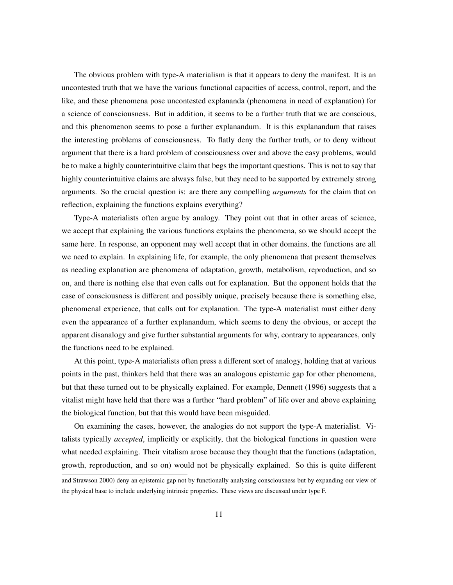The obvious problem with type-A materialism is that it appears to deny the manifest. It is an uncontested truth that we have the various functional capacities of access, control, report, and the like, and these phenomena pose uncontested explananda (phenomena in need of explanation) for a science of consciousness. But in addition, it seems to be a further truth that we are conscious, and this phenomenon seems to pose a further explanandum. It is this explanandum that raises the interesting problems of consciousness. To flatly deny the further truth, or to deny without argument that there is a hard problem of consciousness over and above the easy problems, would be to make a highly counterintuitive claim that begs the important questions. This is not to say that highly counterintuitive claims are always false, but they need to be supported by extremely strong arguments. So the crucial question is: are there any compelling *arguments* for the claim that on reflection, explaining the functions explains everything?

Type-A materialists often argue by analogy. They point out that in other areas of science, we accept that explaining the various functions explains the phenomena, so we should accept the same here. In response, an opponent may well accept that in other domains, the functions are all we need to explain. In explaining life, for example, the only phenomena that present themselves as needing explanation are phenomena of adaptation, growth, metabolism, reproduction, and so on, and there is nothing else that even calls out for explanation. But the opponent holds that the case of consciousness is different and possibly unique, precisely because there is something else, phenomenal experience, that calls out for explanation. The type-A materialist must either deny even the appearance of a further explanandum, which seems to deny the obvious, or accept the apparent disanalogy and give further substantial arguments for why, contrary to appearances, only the functions need to be explained.

At this point, type-A materialists often press a different sort of analogy, holding that at various points in the past, thinkers held that there was an analogous epistemic gap for other phenomena, but that these turned out to be physically explained. For example, Dennett (1996) suggests that a vitalist might have held that there was a further "hard problem" of life over and above explaining the biological function, but that this would have been misguided.

On examining the cases, however, the analogies do not support the type-A materialist. Vitalists typically *accepted*, implicitly or explicitly, that the biological functions in question were what needed explaining. Their vitalism arose because they thought that the functions (adaptation, growth, reproduction, and so on) would not be physically explained. So this is quite different

and Strawson 2000) deny an epistemic gap not by functionally analyzing consciousness but by expanding our view of the physical base to include underlying intrinsic properties. These views are discussed under type F.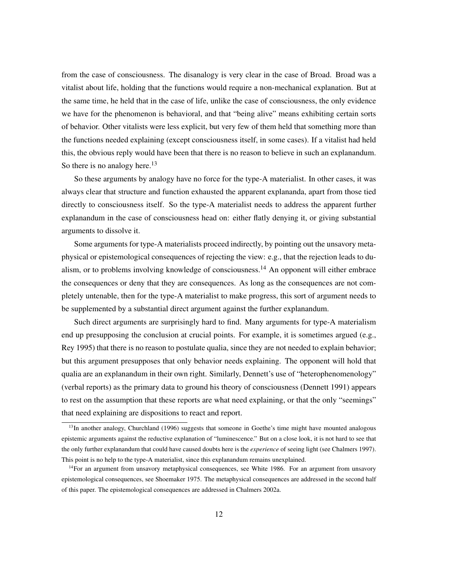from the case of consciousness. The disanalogy is very clear in the case of Broad. Broad was a vitalist about life, holding that the functions would require a non-mechanical explanation. But at the same time, he held that in the case of life, unlike the case of consciousness, the only evidence we have for the phenomenon is behavioral, and that "being alive" means exhibiting certain sorts of behavior. Other vitalists were less explicit, but very few of them held that something more than the functions needed explaining (except consciousness itself, in some cases). If a vitalist had held this, the obvious reply would have been that there is no reason to believe in such an explanandum. So there is no analogy here.<sup>13</sup>

So these arguments by analogy have no force for the type-A materialist. In other cases, it was always clear that structure and function exhausted the apparent explananda, apart from those tied directly to consciousness itself. So the type-A materialist needs to address the apparent further explanandum in the case of consciousness head on: either flatly denying it, or giving substantial arguments to dissolve it.

Some arguments for type-A materialists proceed indirectly, by pointing out the unsavory metaphysical or epistemological consequences of rejecting the view: e.g., that the rejection leads to dualism, or to problems involving knowledge of consciousness.<sup>14</sup> An opponent will either embrace the consequences or deny that they are consequences. As long as the consequences are not completely untenable, then for the type-A materialist to make progress, this sort of argument needs to be supplemented by a substantial direct argument against the further explanandum.

Such direct arguments are surprisingly hard to find. Many arguments for type-A materialism end up presupposing the conclusion at crucial points. For example, it is sometimes argued (e.g., Rey 1995) that there is no reason to postulate qualia, since they are not needed to explain behavior; but this argument presupposes that only behavior needs explaining. The opponent will hold that qualia are an explanandum in their own right. Similarly, Dennett's use of "heterophenomenology" (verbal reports) as the primary data to ground his theory of consciousness (Dennett 1991) appears to rest on the assumption that these reports are what need explaining, or that the only "seemings" that need explaining are dispositions to react and report.

<sup>&</sup>lt;sup>13</sup>In another analogy, Churchland (1996) suggests that someone in Goethe's time might have mounted analogous epistemic arguments against the reductive explanation of "luminescence." But on a close look, it is not hard to see that the only further explanandum that could have caused doubts here is the *experience* of seeing light (see Chalmers 1997). This point is no help to the type-A materialist, since this explanandum remains unexplained.

<sup>&</sup>lt;sup>14</sup>For an argument from unsavory metaphysical consequences, see White 1986. For an argument from unsavory epistemological consequences, see Shoemaker 1975. The metaphysical consequences are addressed in the second half of this paper. The epistemological consequences are addressed in Chalmers 2002a.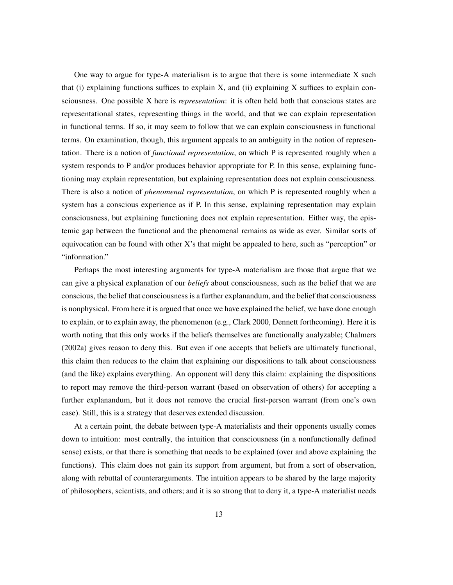One way to argue for type-A materialism is to argue that there is some intermediate X such that (i) explaining functions suffices to explain X, and (ii) explaining X suffices to explain consciousness. One possible X here is *representation*: it is often held both that conscious states are representational states, representing things in the world, and that we can explain representation in functional terms. If so, it may seem to follow that we can explain consciousness in functional terms. On examination, though, this argument appeals to an ambiguity in the notion of representation. There is a notion of *functional representation*, on which P is represented roughly when a system responds to P and/or produces behavior appropriate for P. In this sense, explaining functioning may explain representation, but explaining representation does not explain consciousness. There is also a notion of *phenomenal representation*, on which P is represented roughly when a system has a conscious experience as if P. In this sense, explaining representation may explain consciousness, but explaining functioning does not explain representation. Either way, the epistemic gap between the functional and the phenomenal remains as wide as ever. Similar sorts of equivocation can be found with other X's that might be appealed to here, such as "perception" or "information."

Perhaps the most interesting arguments for type-A materialism are those that argue that we can give a physical explanation of our *beliefs* about consciousness, such as the belief that we are conscious, the belief that consciousness is a further explanandum, and the belief that consciousness is nonphysical. From here it is argued that once we have explained the belief, we have done enough to explain, or to explain away, the phenomenon (e.g., Clark 2000, Dennett forthcoming). Here it is worth noting that this only works if the beliefs themselves are functionally analyzable; Chalmers (2002a) gives reason to deny this. But even if one accepts that beliefs are ultimately functional, this claim then reduces to the claim that explaining our dispositions to talk about consciousness (and the like) explains everything. An opponent will deny this claim: explaining the dispositions to report may remove the third-person warrant (based on observation of others) for accepting a further explanandum, but it does not remove the crucial first-person warrant (from one's own case). Still, this is a strategy that deserves extended discussion.

At a certain point, the debate between type-A materialists and their opponents usually comes down to intuition: most centrally, the intuition that consciousness (in a nonfunctionally defined sense) exists, or that there is something that needs to be explained (over and above explaining the functions). This claim does not gain its support from argument, but from a sort of observation, along with rebuttal of counterarguments. The intuition appears to be shared by the large majority of philosophers, scientists, and others; and it is so strong that to deny it, a type-A materialist needs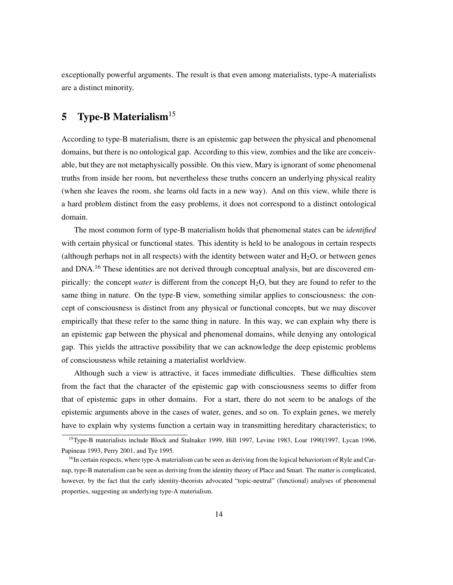exceptionally powerful arguments. The result is that even among materialists, type-A materialists are a distinct minority.

# 5 Type-B Materialism<sup>15</sup>

According to type-B materialism, there is an epistemic gap between the physical and phenomenal domains, but there is no ontological gap. According to this view, zombies and the like are conceivable, but they are not metaphysically possible. On this view, Mary is ignorant of some phenomenal truths from inside her room, but nevertheless these truths concern an underlying physical reality (when she leaves the room, she learns old facts in a new way). And on this view, while there is a hard problem distinct from the easy problems, it does not correspond to a distinct ontological domain.

The most common form of type-B materialism holds that phenomenal states can be *identified* with certain physical or functional states. This identity is held to be analogous in certain respects (although perhaps not in all respects) with the identity between water and  $H_2O$ , or between genes and DNA.<sup>16</sup> These identities are not derived through conceptual analysis, but are discovered empirically: the concept *water* is different from the concept  $H_2O$ , but they are found to refer to the same thing in nature. On the type-B view, something similar applies to consciousness: the concept of consciousness is distinct from any physical or functional concepts, but we may discover empirically that these refer to the same thing in nature. In this way, we can explain why there is an epistemic gap between the physical and phenomenal domains, while denying any ontological gap. This yields the attractive possibility that we can acknowledge the deep epistemic problems of consciousness while retaining a materialist worldview.

Although such a view is attractive, it faces immediate difficulties. These difficulties stem from the fact that the character of the epistemic gap with consciousness seems to differ from that of epistemic gaps in other domains. For a start, there do not seem to be analogs of the epistemic arguments above in the cases of water, genes, and so on. To explain genes, we merely have to explain why systems function a certain way in transmitting hereditary characteristics; to

<sup>15</sup>Type-B materialists include Block and Stalnaker 1999, Hill 1997, Levine 1983, Loar 1990/1997, Lycan 1996, Papineau 1993, Perry 2001, and Tye 1995.

<sup>&</sup>lt;sup>16</sup>In certain respects, where type-A materialism can be seen as deriving from the logical behaviorism of Ryle and Carnap, type-B materialism can be seen as deriving from the identity theory of Place and Smart. The matter is complicated, however, by the fact that the early identity-theorists advocated "topic-neutral" (functional) analyses of phenomenal properties, suggesting an underlying type-A materialism.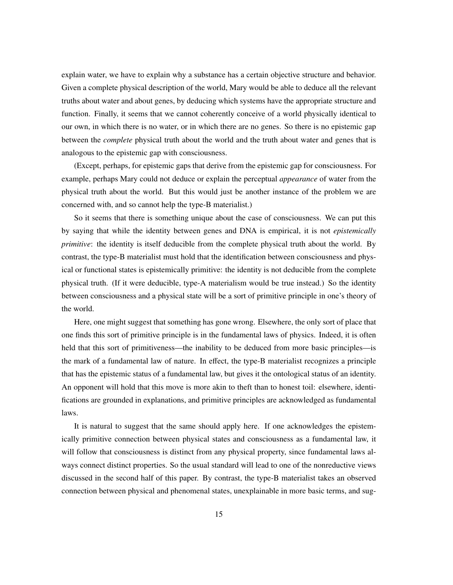explain water, we have to explain why a substance has a certain objective structure and behavior. Given a complete physical description of the world, Mary would be able to deduce all the relevant truths about water and about genes, by deducing which systems have the appropriate structure and function. Finally, it seems that we cannot coherently conceive of a world physically identical to our own, in which there is no water, or in which there are no genes. So there is no epistemic gap between the *complete* physical truth about the world and the truth about water and genes that is analogous to the epistemic gap with consciousness.

(Except, perhaps, for epistemic gaps that derive from the epistemic gap for consciousness. For example, perhaps Mary could not deduce or explain the perceptual *appearance* of water from the physical truth about the world. But this would just be another instance of the problem we are concerned with, and so cannot help the type-B materialist.)

So it seems that there is something unique about the case of consciousness. We can put this by saying that while the identity between genes and DNA is empirical, it is not *epistemically primitive*: the identity is itself deducible from the complete physical truth about the world. By contrast, the type-B materialist must hold that the identification between consciousness and physical or functional states is epistemically primitive: the identity is not deducible from the complete physical truth. (If it were deducible, type-A materialism would be true instead.) So the identity between consciousness and a physical state will be a sort of primitive principle in one's theory of the world.

Here, one might suggest that something has gone wrong. Elsewhere, the only sort of place that one finds this sort of primitive principle is in the fundamental laws of physics. Indeed, it is often held that this sort of primitiveness—the inability to be deduced from more basic principles—is the mark of a fundamental law of nature. In effect, the type-B materialist recognizes a principle that has the epistemic status of a fundamental law, but gives it the ontological status of an identity. An opponent will hold that this move is more akin to theft than to honest toil: elsewhere, identifications are grounded in explanations, and primitive principles are acknowledged as fundamental laws.

It is natural to suggest that the same should apply here. If one acknowledges the epistemically primitive connection between physical states and consciousness as a fundamental law, it will follow that consciousness is distinct from any physical property, since fundamental laws always connect distinct properties. So the usual standard will lead to one of the nonreductive views discussed in the second half of this paper. By contrast, the type-B materialist takes an observed connection between physical and phenomenal states, unexplainable in more basic terms, and sug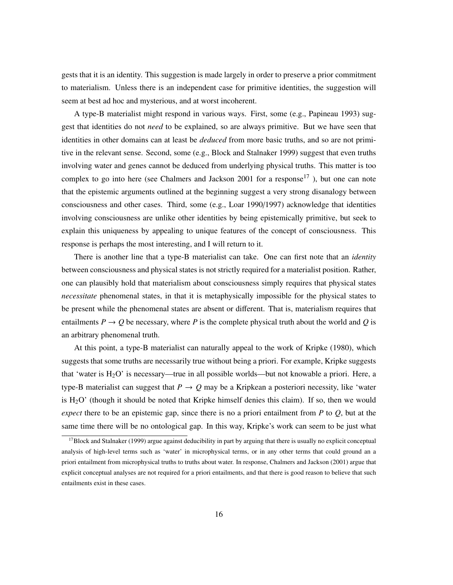gests that it is an identity. This suggestion is made largely in order to preserve a prior commitment to materialism. Unless there is an independent case for primitive identities, the suggestion will seem at best ad hoc and mysterious, and at worst incoherent.

A type-B materialist might respond in various ways. First, some (e.g., Papineau 1993) suggest that identities do not *need* to be explained, so are always primitive. But we have seen that identities in other domains can at least be *deduced* from more basic truths, and so are not primitive in the relevant sense. Second, some (e.g., Block and Stalnaker 1999) suggest that even truths involving water and genes cannot be deduced from underlying physical truths. This matter is too complex to go into here (see Chalmers and Jackson 2001 for a response<sup>17</sup>), but one can note that the epistemic arguments outlined at the beginning suggest a very strong disanalogy between consciousness and other cases. Third, some (e.g., Loar 1990/1997) acknowledge that identities involving consciousness are unlike other identities by being epistemically primitive, but seek to explain this uniqueness by appealing to unique features of the concept of consciousness. This response is perhaps the most interesting, and I will return to it.

There is another line that a type-B materialist can take. One can first note that an *identity* between consciousness and physical states is not strictly required for a materialist position. Rather, one can plausibly hold that materialism about consciousness simply requires that physical states *necessitate* phenomenal states, in that it is metaphysically impossible for the physical states to be present while the phenomenal states are absent or different. That is, materialism requires that entailments  $P \rightarrow Q$  be necessary, where P is the complete physical truth about the world and Q is an arbitrary phenomenal truth.

At this point, a type-B materialist can naturally appeal to the work of Kripke (1980), which suggests that some truths are necessarily true without being a priori. For example, Kripke suggests that 'water is  $H_2O'$  is necessary—true in all possible worlds—but not knowable a priori. Here, a type-B materialist can suggest that  $P \rightarrow Q$  may be a Kripkean a posteriori necessity, like 'water is  $H<sub>2</sub>O'$  (though it should be noted that Kripke himself denies this claim). If so, then we would *expect* there to be an epistemic gap, since there is no a priori entailment from *P* to *Q*, but at the same time there will be no ontological gap. In this way, Kripke's work can seem to be just what

 $17$ Block and Stalnaker (1999) argue against deducibility in part by arguing that there is usually no explicit conceptual analysis of high-level terms such as 'water' in microphysical terms, or in any other terms that could ground an a priori entailment from microphysical truths to truths about water. In response, Chalmers and Jackson (2001) argue that explicit conceptual analyses are not required for a priori entailments, and that there is good reason to believe that such entailments exist in these cases.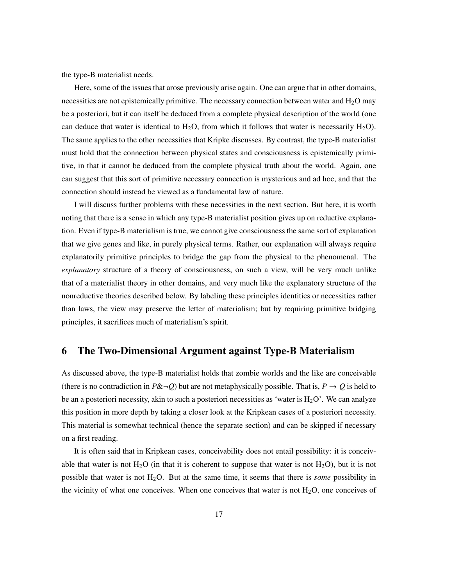the type-B materialist needs.

Here, some of the issues that arose previously arise again. One can argue that in other domains, necessities are not epistemically primitive. The necessary connection between water and  $H_2O$  may be a posteriori, but it can itself be deduced from a complete physical description of the world (one can deduce that water is identical to  $H_2O$ , from which it follows that water is necessarily  $H_2O$ ). The same applies to the other necessities that Kripke discusses. By contrast, the type-B materialist must hold that the connection between physical states and consciousness is epistemically primitive, in that it cannot be deduced from the complete physical truth about the world. Again, one can suggest that this sort of primitive necessary connection is mysterious and ad hoc, and that the connection should instead be viewed as a fundamental law of nature.

I will discuss further problems with these necessities in the next section. But here, it is worth noting that there is a sense in which any type-B materialist position gives up on reductive explanation. Even if type-B materialism is true, we cannot give consciousness the same sort of explanation that we give genes and like, in purely physical terms. Rather, our explanation will always require explanatorily primitive principles to bridge the gap from the physical to the phenomenal. The *explanatory* structure of a theory of consciousness, on such a view, will be very much unlike that of a materialist theory in other domains, and very much like the explanatory structure of the nonreductive theories described below. By labeling these principles identities or necessities rather than laws, the view may preserve the letter of materialism; but by requiring primitive bridging principles, it sacrifices much of materialism's spirit.

## 6 The Two-Dimensional Argument against Type-B Materialism

As discussed above, the type-B materialist holds that zombie worlds and the like are conceivable (there is no contradiction in  $P\&\neg Q$ ) but are not metaphysically possible. That is,  $P \rightarrow Q$  is held to be an a posteriori necessity, akin to such a posteriori necessities as 'water is  $H_2O'$ . We can analyze this position in more depth by taking a closer look at the Kripkean cases of a posteriori necessity. This material is somewhat technical (hence the separate section) and can be skipped if necessary on a first reading.

It is often said that in Kripkean cases, conceivability does not entail possibility: it is conceivable that water is not  $H_2O$  (in that it is coherent to suppose that water is not  $H_2O$ ), but it is not possible that water is not H2O. But at the same time, it seems that there is *some* possibility in the vicinity of what one conceives. When one conceives that water is not  $H_2O$ , one conceives of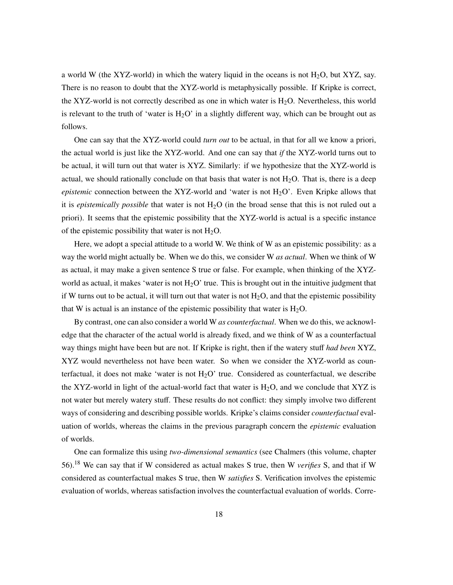a world W (the XYZ-world) in which the watery liquid in the oceans is not  $H_2O$ , but XYZ, say. There is no reason to doubt that the XYZ-world is metaphysically possible. If Kripke is correct, the XYZ-world is not correctly described as one in which water is  $H_2O$ . Nevertheless, this world is relevant to the truth of 'water is  $H_2O'$  in a slightly different way, which can be brought out as follows.

One can say that the XYZ-world could *turn out* to be actual, in that for all we know a priori, the actual world is just like the XYZ-world. And one can say that *if* the XYZ-world turns out to be actual, it will turn out that water is XYZ. Similarly: if we hypothesize that the XYZ-world is actual, we should rationally conclude on that basis that water is not  $H_2O$ . That is, there is a deep *epistemic* connection between the XYZ-world and 'water is not  $H_2O'$ . Even Kripke allows that it is *epistemically possible* that water is not H2O (in the broad sense that this is not ruled out a priori). It seems that the epistemic possibility that the XYZ-world is actual is a specific instance of the epistemic possibility that water is not  $H_2O$ .

Here, we adopt a special attitude to a world W. We think of W as an epistemic possibility: as a way the world might actually be. When we do this, we consider W *as actual*. When we think of W as actual, it may make a given sentence S true or false. For example, when thinking of the XYZworld as actual, it makes 'water is not  $H<sub>2</sub>O$ ' true. This is brought out in the intuitive judgment that if W turns out to be actual, it will turn out that water is not  $H_2O$ , and that the epistemic possibility that W is actual is an instance of the epistemic possibility that water is  $H_2O$ .

By contrast, one can also consider a world W *as counterfactual*. When we do this, we acknowledge that the character of the actual world is already fixed, and we think of W as a counterfactual way things might have been but are not. If Kripke is right, then if the watery stuff *had been* XYZ, XYZ would nevertheless not have been water. So when we consider the XYZ-world as counterfactual, it does not make 'water is not  $H_2O'$ ' true. Considered as counterfactual, we describe the XYZ-world in light of the actual-world fact that water is  $H_2O$ , and we conclude that XYZ is not water but merely watery stuff. These results do not conflict: they simply involve two different ways of considering and describing possible worlds. Kripke's claims consider *counterfactual* evaluation of worlds, whereas the claims in the previous paragraph concern the *epistemic* evaluation of worlds.

One can formalize this using *two-dimensional semantics* (see Chalmers (this volume, chapter 56).<sup>18</sup> We can say that if W considered as actual makes S true, then W *verifies* S, and that if W considered as counterfactual makes S true, then W *satisfies* S. Verification involves the epistemic evaluation of worlds, whereas satisfaction involves the counterfactual evaluation of worlds. Corre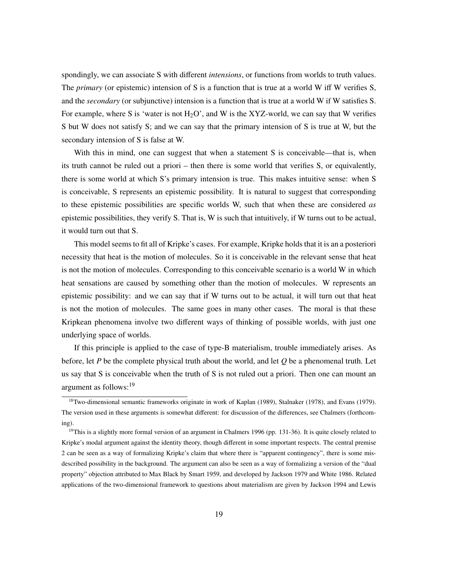spondingly, we can associate S with different *intensions*, or functions from worlds to truth values. The *primary* (or epistemic) intension of S is a function that is true at a world W iff W verifies S, and the *secondary* (or subjunctive) intension is a function that is true at a world W if W satisfies S. For example, where S is 'water is not  $H_2O'$ , and W is the XYZ-world, we can say that W verifies S but W does not satisfy S; and we can say that the primary intension of S is true at W, but the secondary intension of S is false at W.

With this in mind, one can suggest that when a statement S is conceivable—that is, when its truth cannot be ruled out a priori – then there is some world that verifies S, or equivalently, there is some world at which S's primary intension is true. This makes intuitive sense: when S is conceivable, S represents an epistemic possibility. It is natural to suggest that corresponding to these epistemic possibilities are specific worlds W, such that when these are considered *as* epistemic possibilities, they verify S. That is, W is such that intuitively, if W turns out to be actual, it would turn out that S.

This model seems to fit all of Kripke's cases. For example, Kripke holds that it is an a posteriori necessity that heat is the motion of molecules. So it is conceivable in the relevant sense that heat is not the motion of molecules. Corresponding to this conceivable scenario is a world W in which heat sensations are caused by something other than the motion of molecules. W represents an epistemic possibility: and we can say that if W turns out to be actual, it will turn out that heat is not the motion of molecules. The same goes in many other cases. The moral is that these Kripkean phenomena involve two different ways of thinking of possible worlds, with just one underlying space of worlds.

If this principle is applied to the case of type-B materialism, trouble immediately arises. As before, let *P* be the complete physical truth about the world, and let *Q* be a phenomenal truth. Let us say that S is conceivable when the truth of S is not ruled out a priori. Then one can mount an argument as follows:<sup>19</sup>

<sup>&</sup>lt;sup>18</sup>Two-dimensional semantic frameworks originate in work of Kaplan (1989), Stalnaker (1978), and Evans (1979). The version used in these arguments is somewhat different: for discussion of the differences, see Chalmers (forthcoming).

<sup>&</sup>lt;sup>19</sup>This is a slightly more formal version of an argument in Chalmers 1996 (pp. 131-36). It is quite closely related to Kripke's modal argument against the identity theory, though different in some important respects. The central premise 2 can be seen as a way of formalizing Kripke's claim that where there is "apparent contingency", there is some misdescribed possibility in the background. The argument can also be seen as a way of formalizing a version of the "dual property" objection attributed to Max Black by Smart 1959, and developed by Jackson 1979 and White 1986. Related applications of the two-dimensional framework to questions about materialism are given by Jackson 1994 and Lewis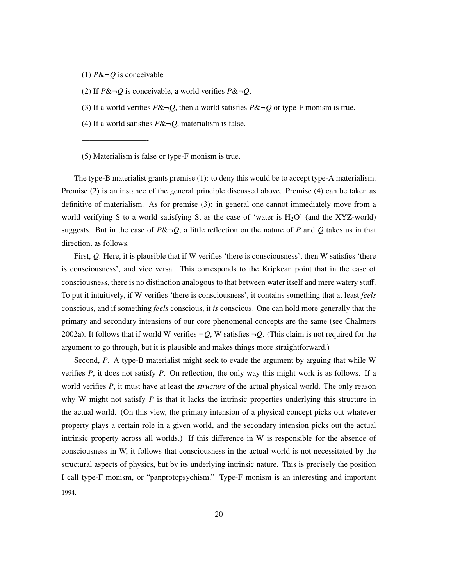(1) *P*&¬*Q* is conceivable

————————-

- (2) If  $P\&\neg Q$  is conceivable, a world verifies  $P\&\neg Q$ .
- (3) If a world verifies  $P\&\neg Q$ , then a world satisfies  $P\&\neg Q$  or type-F monism is true.
- (4) If a world satisfies  $P& \neg Q$ , materialism is false.

(5) Materialism is false or type-F monism is true.

The type-B materialist grants premise (1): to deny this would be to accept type-A materialism. Premise (2) is an instance of the general principle discussed above. Premise (4) can be taken as definitive of materialism. As for premise (3): in general one cannot immediately move from a world verifying S to a world satisfying S, as the case of 'water is  $H_2O'$  (and the XYZ-world) suggests. But in the case of  $P\&\neg Q$ , a little reflection on the nature of P and Q takes us in that direction, as follows.

First, *Q*. Here, it is plausible that if W verifies 'there is consciousness', then W satisfies 'there is consciousness', and vice versa. This corresponds to the Kripkean point that in the case of consciousness, there is no distinction analogous to that between water itself and mere watery stuff. To put it intuitively, if W verifies 'there is consciousness', it contains something that at least *feels* conscious, and if something *feels* conscious, it *is* conscious. One can hold more generally that the primary and secondary intensions of our core phenomenal concepts are the same (see Chalmers 2002a). It follows that if world W verifies  $\neg Q$ , W satisfies  $\neg Q$ . (This claim is not required for the argument to go through, but it is plausible and makes things more straightforward.)

Second, *P*. A type-B materialist might seek to evade the argument by arguing that while W verifies *P*, it does not satisfy *P*. On reflection, the only way this might work is as follows. If a world verifies *P*, it must have at least the *structure* of the actual physical world. The only reason why W might not satisfy *P* is that it lacks the intrinsic properties underlying this structure in the actual world. (On this view, the primary intension of a physical concept picks out whatever property plays a certain role in a given world, and the secondary intension picks out the actual intrinsic property across all worlds.) If this difference in W is responsible for the absence of consciousness in W, it follows that consciousness in the actual world is not necessitated by the structural aspects of physics, but by its underlying intrinsic nature. This is precisely the position I call type-F monism, or "panprotopsychism." Type-F monism is an interesting and important

1994.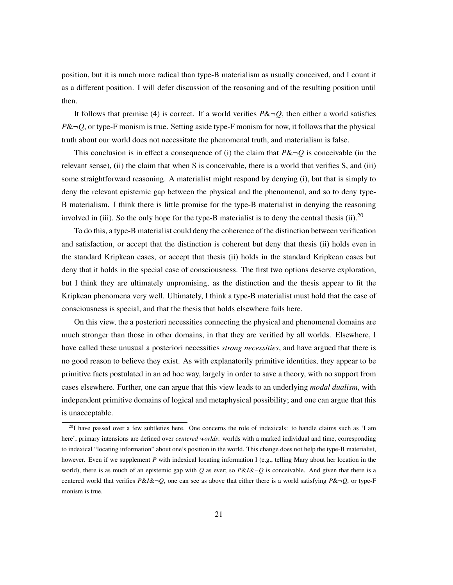position, but it is much more radical than type-B materialism as usually conceived, and I count it as a different position. I will defer discussion of the reasoning and of the resulting position until then.

It follows that premise (4) is correct. If a world verifies  $P&\neg Q$ , then either a world satisfies  $P\&\neg Q$ , or type-F monism is true. Setting aside type-F monism for now, it follows that the physical truth about our world does not necessitate the phenomenal truth, and materialism is false.

This conclusion is in effect a consequence of (i) the claim that  $P\&\neg Q$  is conceivable (in the relevant sense), (ii) the claim that when S is conceivable, there is a world that verifies S, and (iii) some straightforward reasoning. A materialist might respond by denying (i), but that is simply to deny the relevant epistemic gap between the physical and the phenomenal, and so to deny type-B materialism. I think there is little promise for the type-B materialist in denying the reasoning involved in (iii). So the only hope for the type-B materialist is to deny the central thesis (ii).<sup>20</sup>

To do this, a type-B materialist could deny the coherence of the distinction between verification and satisfaction, or accept that the distinction is coherent but deny that thesis (ii) holds even in the standard Kripkean cases, or accept that thesis (ii) holds in the standard Kripkean cases but deny that it holds in the special case of consciousness. The first two options deserve exploration, but I think they are ultimately unpromising, as the distinction and the thesis appear to fit the Kripkean phenomena very well. Ultimately, I think a type-B materialist must hold that the case of consciousness is special, and that the thesis that holds elsewhere fails here.

On this view, the a posteriori necessities connecting the physical and phenomenal domains are much stronger than those in other domains, in that they are verified by all worlds. Elsewhere, I have called these unusual a posteriori necessities *strong necessities*, and have argued that there is no good reason to believe they exist. As with explanatorily primitive identities, they appear to be primitive facts postulated in an ad hoc way, largely in order to save a theory, with no support from cases elsewhere. Further, one can argue that this view leads to an underlying *modal dualism*, with independent primitive domains of logical and metaphysical possibility; and one can argue that this is unacceptable.

 $^{20}$ I have passed over a few subtleties here. One concerns the role of indexicals: to handle claims such as 'I am here', primary intensions are defined over *centered worlds*: worlds with a marked individual and time, corresponding to indexical "locating information" about one's position in the world. This change does not help the type-B materialist, however. Even if we supplement *P* with indexical locating information I (e.g., telling Mary about her location in the world), there is as much of an epistemic gap with *Q* as ever; so  $P&I&¬Q$  is conceivable. And given that there is a centered world that verifies  $P\&I\&\neg Q$ , one can see as above that either there is a world satisfying  $P\&\neg Q$ , or type-F monism is true.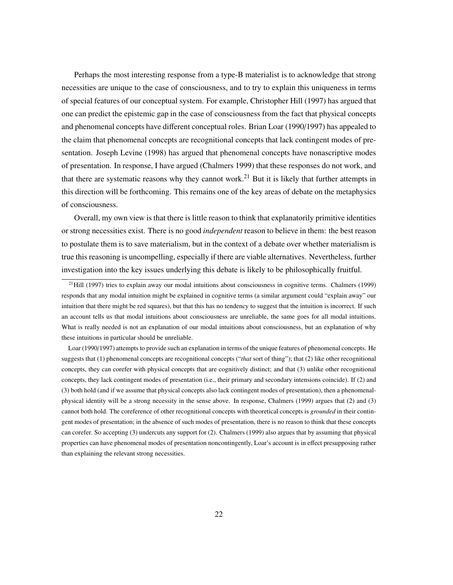Perhaps the most interesting response from a type-B materialist is to acknowledge that strong necessities are unique to the case of consciousness, and to try to explain this uniqueness in terms of special features of our conceptual system. For example, Christopher Hill (1997) has argued that one can predict the epistemic gap in the case of consciousness from the fact that physical concepts and phenomenal concepts have different conceptual roles. Brian Loar (1990/1997) has appealed to the claim that phenomenal concepts are recognitional concepts that lack contingent modes of presentation. Joseph Levine (1998) has argued that phenomenal concepts have nonascriptive modes of presentation. In response, I have argued (Chalmers 1999) that these responses do not work, and that there are systematic reasons why they cannot work.<sup>21</sup> But it is likely that further attempts in this direction will be forthcoming. This remains one of the key areas of debate on the metaphysics of consciousness.

Overall, my own view is that there is little reason to think that explanatorily primitive identities or strong necessities exist. There is no good *independent* reason to believe in them: the best reason to postulate them is to save materialism, but in the context of a debate over whether materialism is true this reasoning is uncompelling, especially if there are viable alternatives. Nevertheless, further investigation into the key issues underlying this debate is likely to be philosophically fruitful.

Loar (1990/1997) attempts to provide such an explanation in terms of the unique features of phenomenal concepts. He suggests that (1) phenomenal concepts are recognitional concepts ("*that* sort of thing"); that (2) like other recognitional concepts, they can corefer with physical concepts that are cognitively distinct; and that (3) unlike other recognitional concepts, they lack contingent modes of presentation (i.e., their primary and secondary intensions coincide). If (2) and (3) both hold (and if we assume that physical concepts also lack contingent modes of presentation), then a phenomenalphysical identity will be a strong necessity in the sense above. In response, Chalmers (1999) argues that (2) and (3) cannot both hold. The coreference of other recognitional concepts with theoretical concepts is *grounded* in their contingent modes of presentation; in the absence of such modes of presentation, there is no reason to think that these concepts can corefer. So accepting (3) undercuts any support for (2). Chalmers (1999) also argues that by assuming that physical properties can have phenomenal modes of presentation noncontingently, Loar's account is in effect presupposing rather than explaining the relevant strong necessities.

<sup>21</sup>Hill (1997) tries to explain away our modal intuitions about consciousness in cognitive terms. Chalmers (1999) responds that any modal intuition might be explained in cognitive terms (a similar argument could "explain away" our intuition that there might be red squares), but that this has no tendency to suggest that the intuition is incorrect. If such an account tells us that modal intuitions about consciousness are unreliable, the same goes for all modal intuitions. What is really needed is not an explanation of our modal intuitions about consciousness, but an explanation of why these intuitions in particular should be unreliable.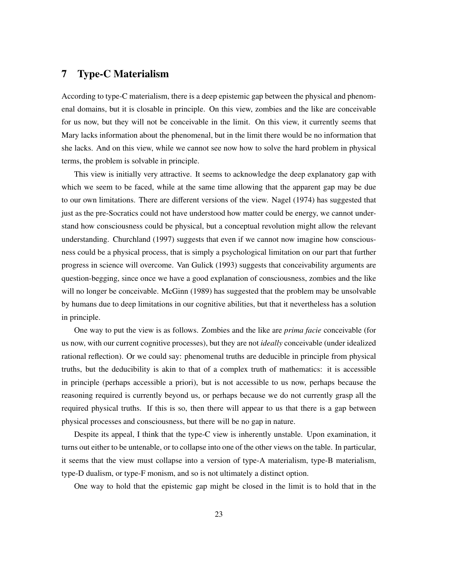## 7 Type-C Materialism

According to type-C materialism, there is a deep epistemic gap between the physical and phenomenal domains, but it is closable in principle. On this view, zombies and the like are conceivable for us now, but they will not be conceivable in the limit. On this view, it currently seems that Mary lacks information about the phenomenal, but in the limit there would be no information that she lacks. And on this view, while we cannot see now how to solve the hard problem in physical terms, the problem is solvable in principle.

This view is initially very attractive. It seems to acknowledge the deep explanatory gap with which we seem to be faced, while at the same time allowing that the apparent gap may be due to our own limitations. There are different versions of the view. Nagel (1974) has suggested that just as the pre-Socratics could not have understood how matter could be energy, we cannot understand how consciousness could be physical, but a conceptual revolution might allow the relevant understanding. Churchland (1997) suggests that even if we cannot now imagine how consciousness could be a physical process, that is simply a psychological limitation on our part that further progress in science will overcome. Van Gulick (1993) suggests that conceivability arguments are question-begging, since once we have a good explanation of consciousness, zombies and the like will no longer be conceivable. McGinn (1989) has suggested that the problem may be unsolvable by humans due to deep limitations in our cognitive abilities, but that it nevertheless has a solution in principle.

One way to put the view is as follows. Zombies and the like are *prima facie* conceivable (for us now, with our current cognitive processes), but they are not *ideally* conceivable (under idealized rational reflection). Or we could say: phenomenal truths are deducible in principle from physical truths, but the deducibility is akin to that of a complex truth of mathematics: it is accessible in principle (perhaps accessible a priori), but is not accessible to us now, perhaps because the reasoning required is currently beyond us, or perhaps because we do not currently grasp all the required physical truths. If this is so, then there will appear to us that there is a gap between physical processes and consciousness, but there will be no gap in nature.

Despite its appeal, I think that the type-C view is inherently unstable. Upon examination, it turns out either to be untenable, or to collapse into one of the other views on the table. In particular, it seems that the view must collapse into a version of type-A materialism, type-B materialism, type-D dualism, or type-F monism, and so is not ultimately a distinct option.

One way to hold that the epistemic gap might be closed in the limit is to hold that in the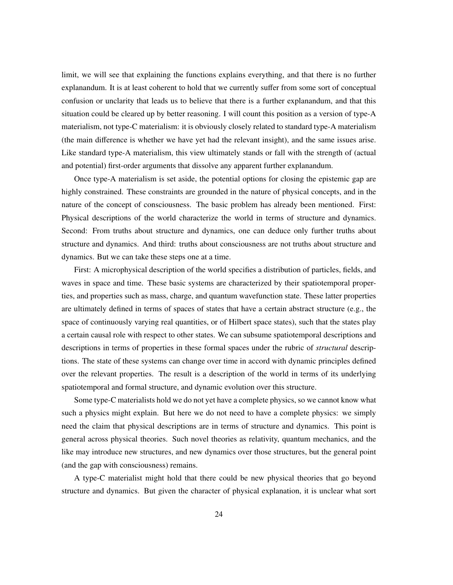limit, we will see that explaining the functions explains everything, and that there is no further explanandum. It is at least coherent to hold that we currently suffer from some sort of conceptual confusion or unclarity that leads us to believe that there is a further explanandum, and that this situation could be cleared up by better reasoning. I will count this position as a version of type-A materialism, not type-C materialism: it is obviously closely related to standard type-A materialism (the main difference is whether we have yet had the relevant insight), and the same issues arise. Like standard type-A materialism, this view ultimately stands or fall with the strength of (actual and potential) first-order arguments that dissolve any apparent further explanandum.

Once type-A materialism is set aside, the potential options for closing the epistemic gap are highly constrained. These constraints are grounded in the nature of physical concepts, and in the nature of the concept of consciousness. The basic problem has already been mentioned. First: Physical descriptions of the world characterize the world in terms of structure and dynamics. Second: From truths about structure and dynamics, one can deduce only further truths about structure and dynamics. And third: truths about consciousness are not truths about structure and dynamics. But we can take these steps one at a time.

First: A microphysical description of the world specifies a distribution of particles, fields, and waves in space and time. These basic systems are characterized by their spatiotemporal properties, and properties such as mass, charge, and quantum wavefunction state. These latter properties are ultimately defined in terms of spaces of states that have a certain abstract structure (e.g., the space of continuously varying real quantities, or of Hilbert space states), such that the states play a certain causal role with respect to other states. We can subsume spatiotemporal descriptions and descriptions in terms of properties in these formal spaces under the rubric of *structural* descriptions. The state of these systems can change over time in accord with dynamic principles defined over the relevant properties. The result is a description of the world in terms of its underlying spatiotemporal and formal structure, and dynamic evolution over this structure.

Some type-C materialists hold we do not yet have a complete physics, so we cannot know what such a physics might explain. But here we do not need to have a complete physics: we simply need the claim that physical descriptions are in terms of structure and dynamics. This point is general across physical theories. Such novel theories as relativity, quantum mechanics, and the like may introduce new structures, and new dynamics over those structures, but the general point (and the gap with consciousness) remains.

A type-C materialist might hold that there could be new physical theories that go beyond structure and dynamics. But given the character of physical explanation, it is unclear what sort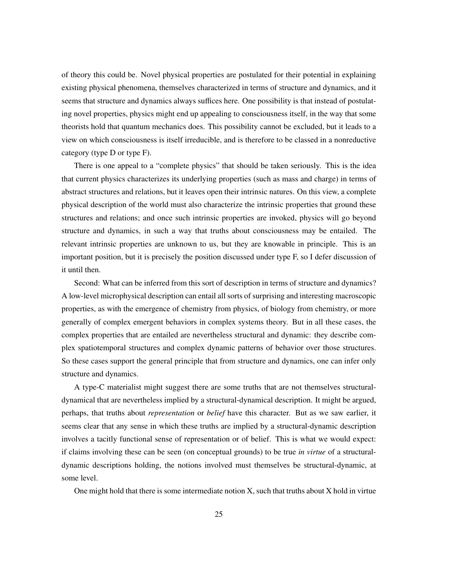of theory this could be. Novel physical properties are postulated for their potential in explaining existing physical phenomena, themselves characterized in terms of structure and dynamics, and it seems that structure and dynamics always suffices here. One possibility is that instead of postulating novel properties, physics might end up appealing to consciousness itself, in the way that some theorists hold that quantum mechanics does. This possibility cannot be excluded, but it leads to a view on which consciousness is itself irreducible, and is therefore to be classed in a nonreductive category (type D or type F).

There is one appeal to a "complete physics" that should be taken seriously. This is the idea that current physics characterizes its underlying properties (such as mass and charge) in terms of abstract structures and relations, but it leaves open their intrinsic natures. On this view, a complete physical description of the world must also characterize the intrinsic properties that ground these structures and relations; and once such intrinsic properties are invoked, physics will go beyond structure and dynamics, in such a way that truths about consciousness may be entailed. The relevant intrinsic properties are unknown to us, but they are knowable in principle. This is an important position, but it is precisely the position discussed under type F, so I defer discussion of it until then.

Second: What can be inferred from this sort of description in terms of structure and dynamics? A low-level microphysical description can entail all sorts of surprising and interesting macroscopic properties, as with the emergence of chemistry from physics, of biology from chemistry, or more generally of complex emergent behaviors in complex systems theory. But in all these cases, the complex properties that are entailed are nevertheless structural and dynamic: they describe complex spatiotemporal structures and complex dynamic patterns of behavior over those structures. So these cases support the general principle that from structure and dynamics, one can infer only structure and dynamics.

A type-C materialist might suggest there are some truths that are not themselves structuraldynamical that are nevertheless implied by a structural-dynamical description. It might be argued, perhaps, that truths about *representation* or *belief* have this character. But as we saw earlier, it seems clear that any sense in which these truths are implied by a structural-dynamic description involves a tacitly functional sense of representation or of belief. This is what we would expect: if claims involving these can be seen (on conceptual grounds) to be true *in virtue* of a structuraldynamic descriptions holding, the notions involved must themselves be structural-dynamic, at some level.

One might hold that there is some intermediate notion X, such that truths about X hold in virtue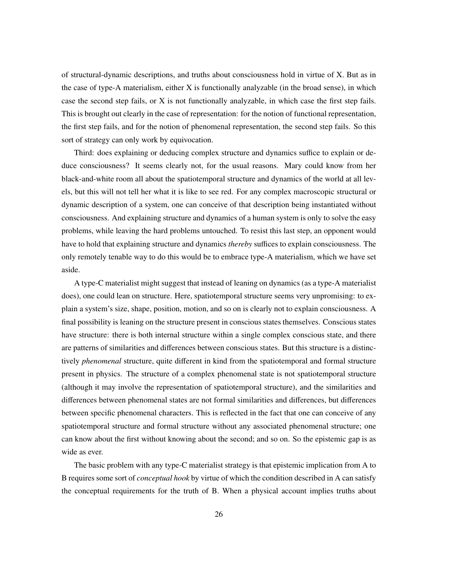of structural-dynamic descriptions, and truths about consciousness hold in virtue of X. But as in the case of type-A materialism, either X is functionally analyzable (in the broad sense), in which case the second step fails, or X is not functionally analyzable, in which case the first step fails. This is brought out clearly in the case of representation: for the notion of functional representation, the first step fails, and for the notion of phenomenal representation, the second step fails. So this sort of strategy can only work by equivocation.

Third: does explaining or deducing complex structure and dynamics suffice to explain or deduce consciousness? It seems clearly not, for the usual reasons. Mary could know from her black-and-white room all about the spatiotemporal structure and dynamics of the world at all levels, but this will not tell her what it is like to see red. For any complex macroscopic structural or dynamic description of a system, one can conceive of that description being instantiated without consciousness. And explaining structure and dynamics of a human system is only to solve the easy problems, while leaving the hard problems untouched. To resist this last step, an opponent would have to hold that explaining structure and dynamics *thereby* suffices to explain consciousness. The only remotely tenable way to do this would be to embrace type-A materialism, which we have set aside.

A type-C materialist might suggest that instead of leaning on dynamics (as a type-A materialist does), one could lean on structure. Here, spatiotemporal structure seems very unpromising: to explain a system's size, shape, position, motion, and so on is clearly not to explain consciousness. A final possibility is leaning on the structure present in conscious states themselves. Conscious states have structure: there is both internal structure within a single complex conscious state, and there are patterns of similarities and differences between conscious states. But this structure is a distinctively *phenomenal* structure, quite different in kind from the spatiotemporal and formal structure present in physics. The structure of a complex phenomenal state is not spatiotemporal structure (although it may involve the representation of spatiotemporal structure), and the similarities and differences between phenomenal states are not formal similarities and differences, but differences between specific phenomenal characters. This is reflected in the fact that one can conceive of any spatiotemporal structure and formal structure without any associated phenomenal structure; one can know about the first without knowing about the second; and so on. So the epistemic gap is as wide as ever.

The basic problem with any type-C materialist strategy is that epistemic implication from A to B requires some sort of *conceptual hook* by virtue of which the condition described in A can satisfy the conceptual requirements for the truth of B. When a physical account implies truths about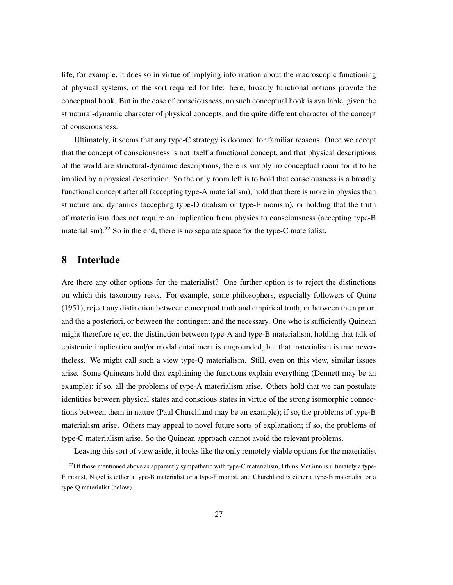life, for example, it does so in virtue of implying information about the macroscopic functioning of physical systems, of the sort required for life: here, broadly functional notions provide the conceptual hook. But in the case of consciousness, no such conceptual hook is available, given the structural-dynamic character of physical concepts, and the quite different character of the concept of consciousness.

Ultimately, it seems that any type-C strategy is doomed for familiar reasons. Once we accept that the concept of consciousness is not itself a functional concept, and that physical descriptions of the world are structural-dynamic descriptions, there is simply no conceptual room for it to be implied by a physical description. So the only room left is to hold that consciousness is a broadly functional concept after all (accepting type-A materialism), hold that there is more in physics than structure and dynamics (accepting type-D dualism or type-F monism), or holding that the truth of materialism does not require an implication from physics to consciousness (accepting type-B materialism).<sup>22</sup> So in the end, there is no separate space for the type-C materialist.

### 8 Interlude

Are there any other options for the materialist? One further option is to reject the distinctions on which this taxonomy rests. For example, some philosophers, especially followers of Quine (1951), reject any distinction between conceptual truth and empirical truth, or between the a priori and the a posteriori, or between the contingent and the necessary. One who is sufficiently Quinean might therefore reject the distinction between type-A and type-B materialism, holding that talk of epistemic implication and/or modal entailment is ungrounded, but that materialism is true nevertheless. We might call such a view type-Q materialism. Still, even on this view, similar issues arise. Some Quineans hold that explaining the functions explain everything (Dennett may be an example); if so, all the problems of type-A materialism arise. Others hold that we can postulate identities between physical states and conscious states in virtue of the strong isomorphic connections between them in nature (Paul Churchland may be an example); if so, the problems of type-B materialism arise. Others may appeal to novel future sorts of explanation; if so, the problems of type-C materialism arise. So the Quinean approach cannot avoid the relevant problems.

Leaving this sort of view aside, it looks like the only remotely viable options for the materialist

<sup>&</sup>lt;sup>22</sup>Of those mentioned above as apparently sympathetic with type-C materialism, I think McGinn is ultimately a type-F monist, Nagel is either a type-B materialist or a type-F monist, and Churchland is either a type-B materialist or a type-Q materialist (below).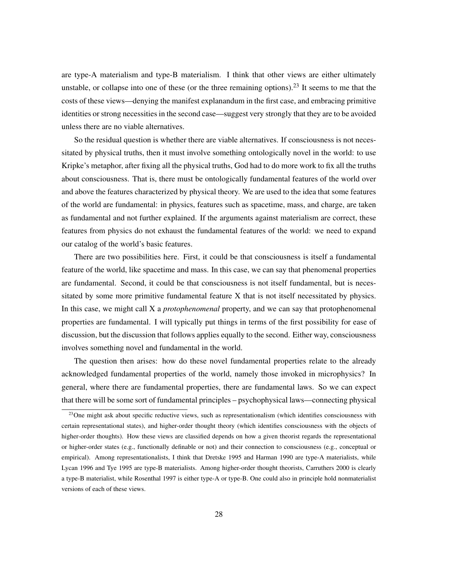are type-A materialism and type-B materialism. I think that other views are either ultimately unstable, or collapse into one of these (or the three remaining options).<sup>23</sup> It seems to me that the costs of these views—denying the manifest explanandum in the first case, and embracing primitive identities or strong necessities in the second case—suggest very strongly that they are to be avoided unless there are no viable alternatives.

So the residual question is whether there are viable alternatives. If consciousness is not necessitated by physical truths, then it must involve something ontologically novel in the world: to use Kripke's metaphor, after fixing all the physical truths, God had to do more work to fix all the truths about consciousness. That is, there must be ontologically fundamental features of the world over and above the features characterized by physical theory. We are used to the idea that some features of the world are fundamental: in physics, features such as spacetime, mass, and charge, are taken as fundamental and not further explained. If the arguments against materialism are correct, these features from physics do not exhaust the fundamental features of the world: we need to expand our catalog of the world's basic features.

There are two possibilities here. First, it could be that consciousness is itself a fundamental feature of the world, like spacetime and mass. In this case, we can say that phenomenal properties are fundamental. Second, it could be that consciousness is not itself fundamental, but is necessitated by some more primitive fundamental feature X that is not itself necessitated by physics. In this case, we might call X a *protophenomenal* property, and we can say that protophenomenal properties are fundamental. I will typically put things in terms of the first possibility for ease of discussion, but the discussion that follows applies equally to the second. Either way, consciousness involves something novel and fundamental in the world.

The question then arises: how do these novel fundamental properties relate to the already acknowledged fundamental properties of the world, namely those invoked in microphysics? In general, where there are fundamental properties, there are fundamental laws. So we can expect that there will be some sort of fundamental principles – psychophysical laws—connecting physical

 $23$ One might ask about specific reductive views, such as representationalism (which identifies consciousness with certain representational states), and higher-order thought theory (which identifies consciousness with the objects of higher-order thoughts). How these views are classified depends on how a given theorist regards the representational or higher-order states (e.g., functionally definable or not) and their connection to consciousness (e.g., conceptual or empirical). Among representationalists, I think that Dretske 1995 and Harman 1990 are type-A materialists, while Lycan 1996 and Tye 1995 are type-B materialists. Among higher-order thought theorists, Carruthers 2000 is clearly a type-B materialist, while Rosenthal 1997 is either type-A or type-B. One could also in principle hold nonmaterialist versions of each of these views.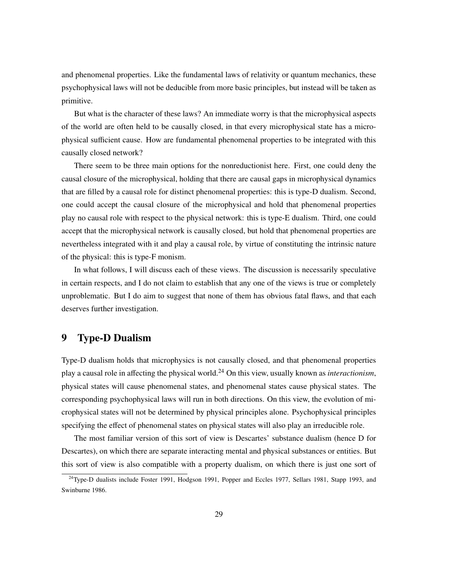and phenomenal properties. Like the fundamental laws of relativity or quantum mechanics, these psychophysical laws will not be deducible from more basic principles, but instead will be taken as primitive.

But what is the character of these laws? An immediate worry is that the microphysical aspects of the world are often held to be causally closed, in that every microphysical state has a microphysical sufficient cause. How are fundamental phenomenal properties to be integrated with this causally closed network?

There seem to be three main options for the nonreductionist here. First, one could deny the causal closure of the microphysical, holding that there are causal gaps in microphysical dynamics that are filled by a causal role for distinct phenomenal properties: this is type-D dualism. Second, one could accept the causal closure of the microphysical and hold that phenomenal properties play no causal role with respect to the physical network: this is type-E dualism. Third, one could accept that the microphysical network is causally closed, but hold that phenomenal properties are nevertheless integrated with it and play a causal role, by virtue of constituting the intrinsic nature of the physical: this is type-F monism.

In what follows, I will discuss each of these views. The discussion is necessarily speculative in certain respects, and I do not claim to establish that any one of the views is true or completely unproblematic. But I do aim to suggest that none of them has obvious fatal flaws, and that each deserves further investigation.

# 9 Type-D Dualism

Type-D dualism holds that microphysics is not causally closed, and that phenomenal properties play a causal role in affecting the physical world.<sup>24</sup> On this view, usually known as *interactionism*, physical states will cause phenomenal states, and phenomenal states cause physical states. The corresponding psychophysical laws will run in both directions. On this view, the evolution of microphysical states will not be determined by physical principles alone. Psychophysical principles specifying the effect of phenomenal states on physical states will also play an irreducible role.

The most familiar version of this sort of view is Descartes' substance dualism (hence D for Descartes), on which there are separate interacting mental and physical substances or entities. But this sort of view is also compatible with a property dualism, on which there is just one sort of

<sup>&</sup>lt;sup>24</sup>Type-D dualists include Foster 1991, Hodgson 1991, Popper and Eccles 1977, Sellars 1981, Stapp 1993, and Swinburne 1986.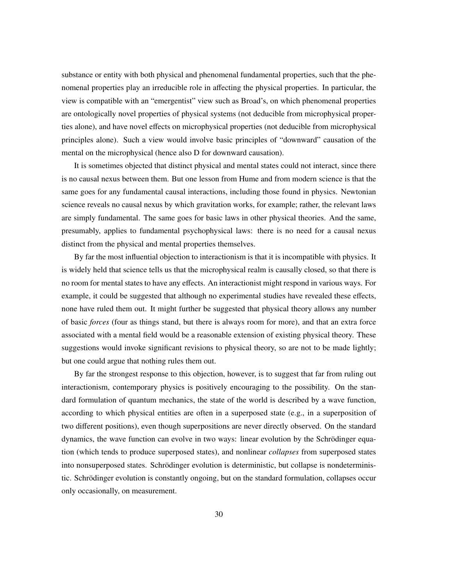substance or entity with both physical and phenomenal fundamental properties, such that the phenomenal properties play an irreducible role in affecting the physical properties. In particular, the view is compatible with an "emergentist" view such as Broad's, on which phenomenal properties are ontologically novel properties of physical systems (not deducible from microphysical properties alone), and have novel effects on microphysical properties (not deducible from microphysical principles alone). Such a view would involve basic principles of "downward" causation of the mental on the microphysical (hence also D for downward causation).

It is sometimes objected that distinct physical and mental states could not interact, since there is no causal nexus between them. But one lesson from Hume and from modern science is that the same goes for any fundamental causal interactions, including those found in physics. Newtonian science reveals no causal nexus by which gravitation works, for example; rather, the relevant laws are simply fundamental. The same goes for basic laws in other physical theories. And the same, presumably, applies to fundamental psychophysical laws: there is no need for a causal nexus distinct from the physical and mental properties themselves.

By far the most influential objection to interactionism is that it is incompatible with physics. It is widely held that science tells us that the microphysical realm is causally closed, so that there is no room for mental states to have any effects. An interactionist might respond in various ways. For example, it could be suggested that although no experimental studies have revealed these effects, none have ruled them out. It might further be suggested that physical theory allows any number of basic *forces* (four as things stand, but there is always room for more), and that an extra force associated with a mental field would be a reasonable extension of existing physical theory. These suggestions would invoke significant revisions to physical theory, so are not to be made lightly; but one could argue that nothing rules them out.

By far the strongest response to this objection, however, is to suggest that far from ruling out interactionism, contemporary physics is positively encouraging to the possibility. On the standard formulation of quantum mechanics, the state of the world is described by a wave function, according to which physical entities are often in a superposed state (e.g., in a superposition of two different positions), even though superpositions are never directly observed. On the standard dynamics, the wave function can evolve in two ways: linear evolution by the Schrödinger equation (which tends to produce superposed states), and nonlinear *collapses* from superposed states into nonsuperposed states. Schrödinger evolution is deterministic, but collapse is nondeterministic. Schrödinger evolution is constantly ongoing, but on the standard formulation, collapses occur only occasionally, on measurement.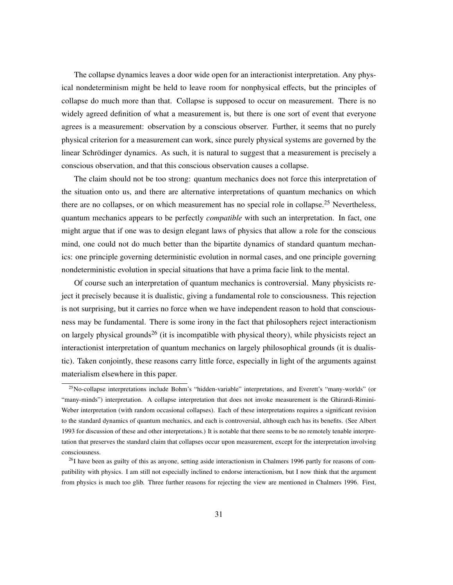The collapse dynamics leaves a door wide open for an interactionist interpretation. Any physical nondeterminism might be held to leave room for nonphysical effects, but the principles of collapse do much more than that. Collapse is supposed to occur on measurement. There is no widely agreed definition of what a measurement is, but there is one sort of event that everyone agrees is a measurement: observation by a conscious observer. Further, it seems that no purely physical criterion for a measurement can work, since purely physical systems are governed by the linear Schrödinger dynamics. As such, it is natural to suggest that a measurement is precisely a conscious observation, and that this conscious observation causes a collapse.

The claim should not be too strong: quantum mechanics does not force this interpretation of the situation onto us, and there are alternative interpretations of quantum mechanics on which there are no collapses, or on which measurement has no special role in collapse.<sup>25</sup> Nevertheless, quantum mechanics appears to be perfectly *compatible* with such an interpretation. In fact, one might argue that if one was to design elegant laws of physics that allow a role for the conscious mind, one could not do much better than the bipartite dynamics of standard quantum mechanics: one principle governing deterministic evolution in normal cases, and one principle governing nondeterministic evolution in special situations that have a prima facie link to the mental.

Of course such an interpretation of quantum mechanics is controversial. Many physicists reject it precisely because it is dualistic, giving a fundamental role to consciousness. This rejection is not surprising, but it carries no force when we have independent reason to hold that consciousness may be fundamental. There is some irony in the fact that philosophers reject interactionism on largely physical grounds<sup>26</sup> (it is incompatible with physical theory), while physicists reject an interactionist interpretation of quantum mechanics on largely philosophical grounds (it is dualistic). Taken conjointly, these reasons carry little force, especially in light of the arguments against materialism elsewhere in this paper.

<sup>25</sup>No-collapse interpretations include Bohm's "hidden-variable" interpretations, and Everett's "many-worlds" (or "many-minds") interpretation. A collapse interpretation that does not invoke measurement is the Ghirardi-Rimini-Weber interpretation (with random occasional collapses). Each of these interpretations requires a significant revision to the standard dynamics of quantum mechanics, and each is controversial, although each has its benefits. (See Albert 1993 for discussion of these and other interpretations.) It is notable that there seems to be no remotely tenable interpretation that preserves the standard claim that collapses occur upon measurement, except for the interpretation involving consciousness.

 $^{26}$ I have been as guilty of this as anyone, setting aside interactionism in Chalmers 1996 partly for reasons of compatibility with physics. I am still not especially inclined to endorse interactionism, but I now think that the argument from physics is much too glib. Three further reasons for rejecting the view are mentioned in Chalmers 1996. First,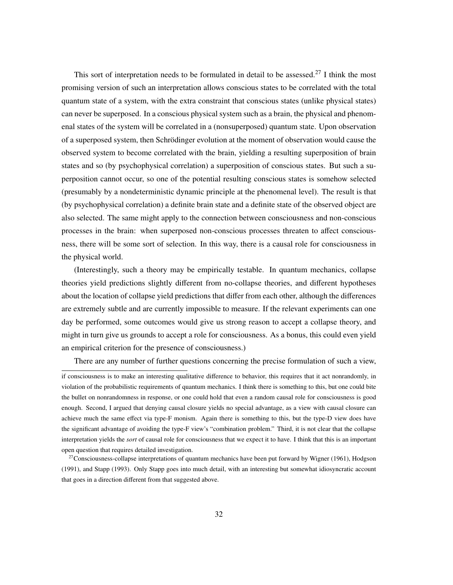This sort of interpretation needs to be formulated in detail to be assessed.<sup>27</sup> I think the most promising version of such an interpretation allows conscious states to be correlated with the total quantum state of a system, with the extra constraint that conscious states (unlike physical states) can never be superposed. In a conscious physical system such as a brain, the physical and phenomenal states of the system will be correlated in a (nonsuperposed) quantum state. Upon observation of a superposed system, then Schrodinger evolution at the moment of observation would cause the ¨ observed system to become correlated with the brain, yielding a resulting superposition of brain states and so (by psychophysical correlation) a superposition of conscious states. But such a superposition cannot occur, so one of the potential resulting conscious states is somehow selected (presumably by a nondeterministic dynamic principle at the phenomenal level). The result is that (by psychophysical correlation) a definite brain state and a definite state of the observed object are also selected. The same might apply to the connection between consciousness and non-conscious processes in the brain: when superposed non-conscious processes threaten to affect consciousness, there will be some sort of selection. In this way, there is a causal role for consciousness in the physical world.

(Interestingly, such a theory may be empirically testable. In quantum mechanics, collapse theories yield predictions slightly different from no-collapse theories, and different hypotheses about the location of collapse yield predictions that differ from each other, although the differences are extremely subtle and are currently impossible to measure. If the relevant experiments can one day be performed, some outcomes would give us strong reason to accept a collapse theory, and might in turn give us grounds to accept a role for consciousness. As a bonus, this could even yield an empirical criterion for the presence of consciousness.)

There are any number of further questions concerning the precise formulation of such a view,

if consciousness is to make an interesting qualitative difference to behavior, this requires that it act nonrandomly, in violation of the probabilistic requirements of quantum mechanics. I think there is something to this, but one could bite the bullet on nonrandomness in response, or one could hold that even a random causal role for consciousness is good enough. Second, I argued that denying causal closure yields no special advantage, as a view with causal closure can achieve much the same effect via type-F monism. Again there is something to this, but the type-D view does have the significant advantage of avoiding the type-F view's "combination problem." Third, it is not clear that the collapse interpretation yields the *sort* of causal role for consciousness that we expect it to have. I think that this is an important open question that requires detailed investigation.

 $27$ Consciousness-collapse interpretations of quantum mechanics have been put forward by Wigner (1961), Hodgson (1991), and Stapp (1993). Only Stapp goes into much detail, with an interesting but somewhat idiosyncratic account that goes in a direction different from that suggested above.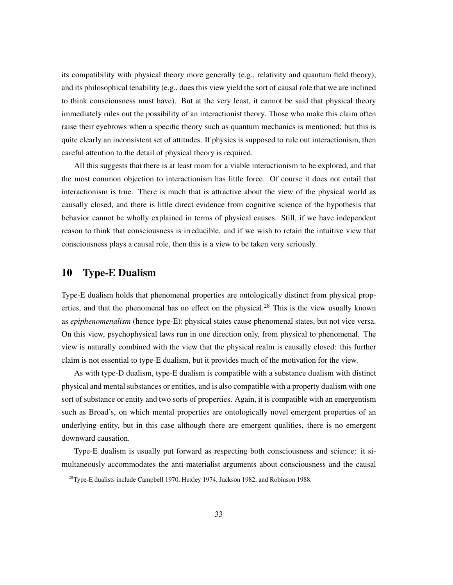its compatibility with physical theory more generally (e.g., relativity and quantum field theory), and its philosophical tenability (e.g., does this view yield the sort of causal role that we are inclined to think consciousness must have). But at the very least, it cannot be said that physical theory immediately rules out the possibility of an interactionist theory. Those who make this claim often raise their eyebrows when a specific theory such as quantum mechanics is mentioned; but this is quite clearly an inconsistent set of attitudes. If physics is supposed to rule out interactionism, then careful attention to the detail of physical theory is required.

All this suggests that there is at least room for a viable interactionism to be explored, and that the most common objection to interactionism has little force. Of course it does not entail that interactionism is true. There is much that is attractive about the view of the physical world as causally closed, and there is little direct evidence from cognitive science of the hypothesis that behavior cannot be wholly explained in terms of physical causes. Still, if we have independent reason to think that consciousness is irreducible, and if we wish to retain the intuitive view that consciousness plays a causal role, then this is a view to be taken very seriously.

## 10 Type-E Dualism

Type-E dualism holds that phenomenal properties are ontologically distinct from physical properties, and that the phenomenal has no effect on the physical.<sup>28</sup> This is the view usually known as *epiphenomenalism* (hence type-E): physical states cause phenomenal states, but not vice versa. On this view, psychophysical laws run in one direction only, from physical to phenomenal. The view is naturally combined with the view that the physical realm is causally closed: this further claim is not essential to type-E dualism, but it provides much of the motivation for the view.

As with type-D dualism, type-E dualism is compatible with a substance dualism with distinct physical and mental substances or entities, and is also compatible with a property dualism with one sort of substance or entity and two sorts of properties. Again, it is compatible with an emergentism such as Broad's, on which mental properties are ontologically novel emergent properties of an underlying entity, but in this case although there are emergent qualities, there is no emergent downward causation.

Type-E dualism is usually put forward as respecting both consciousness and science: it simultaneously accommodates the anti-materialist arguments about consciousness and the causal

<sup>28</sup>Type-E dualists include Campbell 1970, Huxley 1974, Jackson 1982, and Robinson 1988.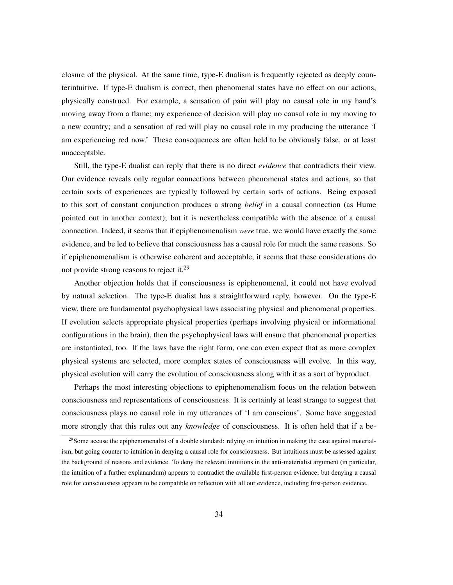closure of the physical. At the same time, type-E dualism is frequently rejected as deeply counterintuitive. If type-E dualism is correct, then phenomenal states have no effect on our actions, physically construed. For example, a sensation of pain will play no causal role in my hand's moving away from a flame; my experience of decision will play no causal role in my moving to a new country; and a sensation of red will play no causal role in my producing the utterance 'I am experiencing red now.' These consequences are often held to be obviously false, or at least unacceptable.

Still, the type-E dualist can reply that there is no direct *evidence* that contradicts their view. Our evidence reveals only regular connections between phenomenal states and actions, so that certain sorts of experiences are typically followed by certain sorts of actions. Being exposed to this sort of constant conjunction produces a strong *belief* in a causal connection (as Hume pointed out in another context); but it is nevertheless compatible with the absence of a causal connection. Indeed, it seems that if epiphenomenalism *were* true, we would have exactly the same evidence, and be led to believe that consciousness has a causal role for much the same reasons. So if epiphenomenalism is otherwise coherent and acceptable, it seems that these considerations do not provide strong reasons to reject it.<sup>29</sup>

Another objection holds that if consciousness is epiphenomenal, it could not have evolved by natural selection. The type-E dualist has a straightforward reply, however. On the type-E view, there are fundamental psychophysical laws associating physical and phenomenal properties. If evolution selects appropriate physical properties (perhaps involving physical or informational configurations in the brain), then the psychophysical laws will ensure that phenomenal properties are instantiated, too. If the laws have the right form, one can even expect that as more complex physical systems are selected, more complex states of consciousness will evolve. In this way, physical evolution will carry the evolution of consciousness along with it as a sort of byproduct.

Perhaps the most interesting objections to epiphenomenalism focus on the relation between consciousness and representations of consciousness. It is certainly at least strange to suggest that consciousness plays no causal role in my utterances of 'I am conscious'. Some have suggested more strongly that this rules out any *knowledge* of consciousness. It is often held that if a be-

 $^{29}$ Some accuse the epiphenomenalist of a double standard: relying on intuition in making the case against materialism, but going counter to intuition in denying a causal role for consciousness. But intuitions must be assessed against the background of reasons and evidence. To deny the relevant intuitions in the anti-materialist argument (in particular, the intuition of a further explanandum) appears to contradict the available first-person evidence; but denying a causal role for consciousness appears to be compatible on reflection with all our evidence, including first-person evidence.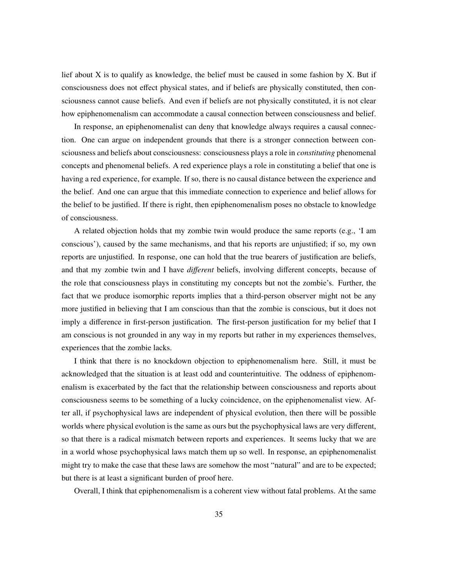lief about X is to qualify as knowledge, the belief must be caused in some fashion by X. But if consciousness does not effect physical states, and if beliefs are physically constituted, then consciousness cannot cause beliefs. And even if beliefs are not physically constituted, it is not clear how epiphenomenalism can accommodate a causal connection between consciousness and belief.

In response, an epiphenomenalist can deny that knowledge always requires a causal connection. One can argue on independent grounds that there is a stronger connection between consciousness and beliefs about consciousness: consciousness plays a role in *constituting* phenomenal concepts and phenomenal beliefs. A red experience plays a role in constituting a belief that one is having a red experience, for example. If so, there is no causal distance between the experience and the belief. And one can argue that this immediate connection to experience and belief allows for the belief to be justified. If there is right, then epiphenomenalism poses no obstacle to knowledge of consciousness.

A related objection holds that my zombie twin would produce the same reports (e.g., 'I am conscious'), caused by the same mechanisms, and that his reports are unjustified; if so, my own reports are unjustified. In response, one can hold that the true bearers of justification are beliefs, and that my zombie twin and I have *di*ff*erent* beliefs, involving different concepts, because of the role that consciousness plays in constituting my concepts but not the zombie's. Further, the fact that we produce isomorphic reports implies that a third-person observer might not be any more justified in believing that I am conscious than that the zombie is conscious, but it does not imply a difference in first-person justification. The first-person justification for my belief that I am conscious is not grounded in any way in my reports but rather in my experiences themselves, experiences that the zombie lacks.

I think that there is no knockdown objection to epiphenomenalism here. Still, it must be acknowledged that the situation is at least odd and counterintuitive. The oddness of epiphenomenalism is exacerbated by the fact that the relationship between consciousness and reports about consciousness seems to be something of a lucky coincidence, on the epiphenomenalist view. After all, if psychophysical laws are independent of physical evolution, then there will be possible worlds where physical evolution is the same as ours but the psychophysical laws are very different, so that there is a radical mismatch between reports and experiences. It seems lucky that we are in a world whose psychophysical laws match them up so well. In response, an epiphenomenalist might try to make the case that these laws are somehow the most "natural" and are to be expected; but there is at least a significant burden of proof here.

Overall, I think that epiphenomenalism is a coherent view without fatal problems. At the same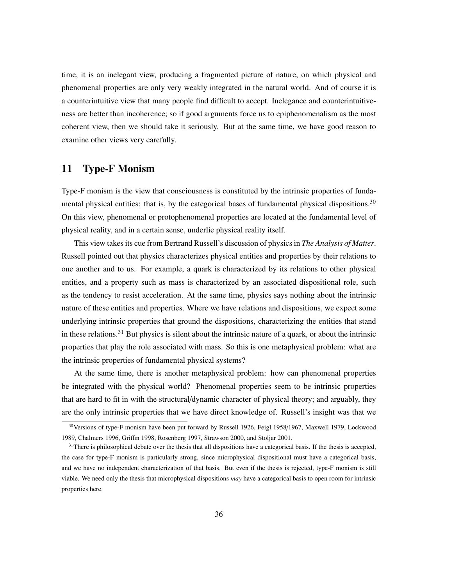time, it is an inelegant view, producing a fragmented picture of nature, on which physical and phenomenal properties are only very weakly integrated in the natural world. And of course it is a counterintuitive view that many people find difficult to accept. Inelegance and counterintuitiveness are better than incoherence; so if good arguments force us to epiphenomenalism as the most coherent view, then we should take it seriously. But at the same time, we have good reason to examine other views very carefully.

### 11 Type-F Monism

Type-F monism is the view that consciousness is constituted by the intrinsic properties of fundamental physical entities: that is, by the categorical bases of fundamental physical dispositions.<sup>30</sup> On this view, phenomenal or protophenomenal properties are located at the fundamental level of physical reality, and in a certain sense, underlie physical reality itself.

This view takes its cue from Bertrand Russell's discussion of physics in *The Analysis of Matter*. Russell pointed out that physics characterizes physical entities and properties by their relations to one another and to us. For example, a quark is characterized by its relations to other physical entities, and a property such as mass is characterized by an associated dispositional role, such as the tendency to resist acceleration. At the same time, physics says nothing about the intrinsic nature of these entities and properties. Where we have relations and dispositions, we expect some underlying intrinsic properties that ground the dispositions, characterizing the entities that stand in these relations.<sup>31</sup> But physics is silent about the intrinsic nature of a quark, or about the intrinsic properties that play the role associated with mass. So this is one metaphysical problem: what are the intrinsic properties of fundamental physical systems?

At the same time, there is another metaphysical problem: how can phenomenal properties be integrated with the physical world? Phenomenal properties seem to be intrinsic properties that are hard to fit in with the structural/dynamic character of physical theory; and arguably, they are the only intrinsic properties that we have direct knowledge of. Russell's insight was that we

<sup>30</sup>Versions of type-F monism have been put forward by Russell 1926, Feigl 1958/1967, Maxwell 1979, Lockwood 1989, Chalmers 1996, Griffin 1998, Rosenberg 1997, Strawson 2000, and Stoljar 2001.

 $31$ There is philosophical debate over the thesis that all dispositions have a categorical basis. If the thesis is accepted, the case for type-F monism is particularly strong, since microphysical dispositional must have a categorical basis, and we have no independent characterization of that basis. But even if the thesis is rejected, type-F monism is still viable. We need only the thesis that microphysical dispositions *may* have a categorical basis to open room for intrinsic properties here.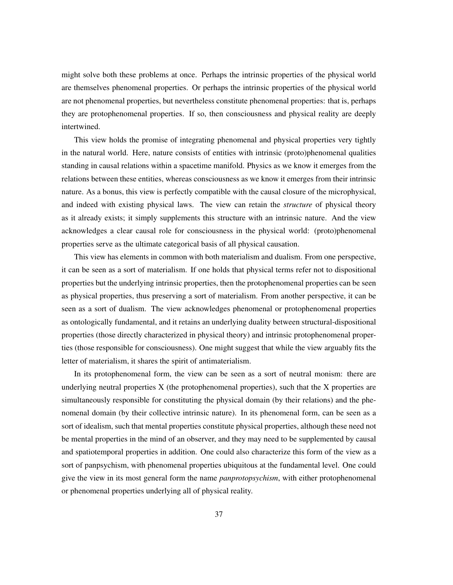might solve both these problems at once. Perhaps the intrinsic properties of the physical world are themselves phenomenal properties. Or perhaps the intrinsic properties of the physical world are not phenomenal properties, but nevertheless constitute phenomenal properties: that is, perhaps they are protophenomenal properties. If so, then consciousness and physical reality are deeply intertwined.

This view holds the promise of integrating phenomenal and physical properties very tightly in the natural world. Here, nature consists of entities with intrinsic (proto)phenomenal qualities standing in causal relations within a spacetime manifold. Physics as we know it emerges from the relations between these entities, whereas consciousness as we know it emerges from their intrinsic nature. As a bonus, this view is perfectly compatible with the causal closure of the microphysical, and indeed with existing physical laws. The view can retain the *structure* of physical theory as it already exists; it simply supplements this structure with an intrinsic nature. And the view acknowledges a clear causal role for consciousness in the physical world: (proto)phenomenal properties serve as the ultimate categorical basis of all physical causation.

This view has elements in common with both materialism and dualism. From one perspective, it can be seen as a sort of materialism. If one holds that physical terms refer not to dispositional properties but the underlying intrinsic properties, then the protophenomenal properties can be seen as physical properties, thus preserving a sort of materialism. From another perspective, it can be seen as a sort of dualism. The view acknowledges phenomenal or protophenomenal properties as ontologically fundamental, and it retains an underlying duality between structural-dispositional properties (those directly characterized in physical theory) and intrinsic protophenomenal properties (those responsible for consciousness). One might suggest that while the view arguably fits the letter of materialism, it shares the spirit of antimaterialism.

In its protophenomenal form, the view can be seen as a sort of neutral monism: there are underlying neutral properties  $X$  (the protophenomenal properties), such that the  $X$  properties are simultaneously responsible for constituting the physical domain (by their relations) and the phenomenal domain (by their collective intrinsic nature). In its phenomenal form, can be seen as a sort of idealism, such that mental properties constitute physical properties, although these need not be mental properties in the mind of an observer, and they may need to be supplemented by causal and spatiotemporal properties in addition. One could also characterize this form of the view as a sort of panpsychism, with phenomenal properties ubiquitous at the fundamental level. One could give the view in its most general form the name *panprotopsychism*, with either protophenomenal or phenomenal properties underlying all of physical reality.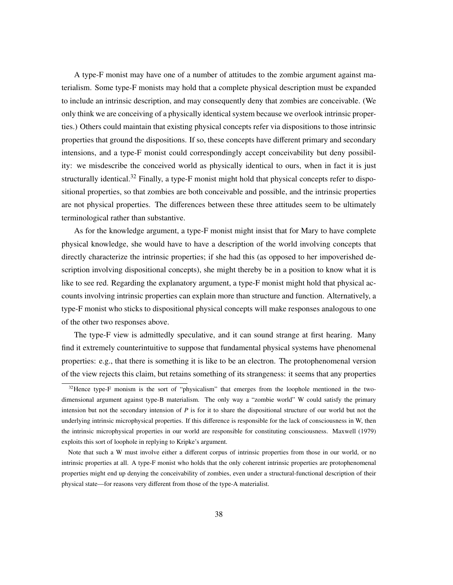A type-F monist may have one of a number of attitudes to the zombie argument against materialism. Some type-F monists may hold that a complete physical description must be expanded to include an intrinsic description, and may consequently deny that zombies are conceivable. (We only think we are conceiving of a physically identical system because we overlook intrinsic properties.) Others could maintain that existing physical concepts refer via dispositions to those intrinsic properties that ground the dispositions. If so, these concepts have different primary and secondary intensions, and a type-F monist could correspondingly accept conceivability but deny possibility: we misdescribe the conceived world as physically identical to ours, when in fact it is just structurally identical.<sup>32</sup> Finally, a type-F monist might hold that physical concepts refer to dispositional properties, so that zombies are both conceivable and possible, and the intrinsic properties are not physical properties. The differences between these three attitudes seem to be ultimately terminological rather than substantive.

As for the knowledge argument, a type-F monist might insist that for Mary to have complete physical knowledge, she would have to have a description of the world involving concepts that directly characterize the intrinsic properties; if she had this (as opposed to her impoverished description involving dispositional concepts), she might thereby be in a position to know what it is like to see red. Regarding the explanatory argument, a type-F monist might hold that physical accounts involving intrinsic properties can explain more than structure and function. Alternatively, a type-F monist who sticks to dispositional physical concepts will make responses analogous to one of the other two responses above.

The type-F view is admittedly speculative, and it can sound strange at first hearing. Many find it extremely counterintuitive to suppose that fundamental physical systems have phenomenal properties: e.g., that there is something it is like to be an electron. The protophenomenal version of the view rejects this claim, but retains something of its strangeness: it seems that any properties

<sup>&</sup>lt;sup>32</sup>Hence type-F monism is the sort of "physicalism" that emerges from the loophole mentioned in the twodimensional argument against type-B materialism. The only way a "zombie world" W could satisfy the primary intension but not the secondary intension of *P* is for it to share the dispositional structure of our world but not the underlying intrinsic microphysical properties. If this difference is responsible for the lack of consciousness in W, then the intrinsic microphysical properties in our world are responsible for constituting consciousness. Maxwell (1979) exploits this sort of loophole in replying to Kripke's argument.

Note that such a W must involve either a different corpus of intrinsic properties from those in our world, or no intrinsic properties at all. A type-F monist who holds that the only coherent intrinsic properties are protophenomenal properties might end up denying the conceivability of zombies, even under a structural-functional description of their physical state—for reasons very different from those of the type-A materialist.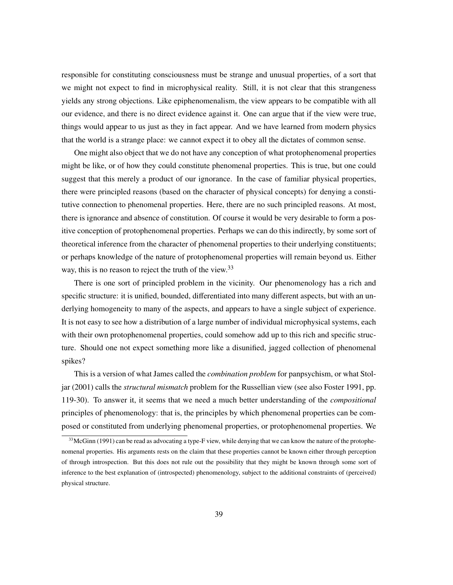responsible for constituting consciousness must be strange and unusual properties, of a sort that we might not expect to find in microphysical reality. Still, it is not clear that this strangeness yields any strong objections. Like epiphenomenalism, the view appears to be compatible with all our evidence, and there is no direct evidence against it. One can argue that if the view were true, things would appear to us just as they in fact appear. And we have learned from modern physics that the world is a strange place: we cannot expect it to obey all the dictates of common sense.

One might also object that we do not have any conception of what protophenomenal properties might be like, or of how they could constitute phenomenal properties. This is true, but one could suggest that this merely a product of our ignorance. In the case of familiar physical properties, there were principled reasons (based on the character of physical concepts) for denying a constitutive connection to phenomenal properties. Here, there are no such principled reasons. At most, there is ignorance and absence of constitution. Of course it would be very desirable to form a positive conception of protophenomenal properties. Perhaps we can do this indirectly, by some sort of theoretical inference from the character of phenomenal properties to their underlying constituents; or perhaps knowledge of the nature of protophenomenal properties will remain beyond us. Either way, this is no reason to reject the truth of the view.<sup>33</sup>

There is one sort of principled problem in the vicinity. Our phenomenology has a rich and specific structure: it is unified, bounded, differentiated into many different aspects, but with an underlying homogeneity to many of the aspects, and appears to have a single subject of experience. It is not easy to see how a distribution of a large number of individual microphysical systems, each with their own protophenomenal properties, could somehow add up to this rich and specific structure. Should one not expect something more like a disunified, jagged collection of phenomenal spikes?

This is a version of what James called the *combination problem* for panpsychism, or what Stoljar (2001) calls the *structural mismatch* problem for the Russellian view (see also Foster 1991, pp. 119-30). To answer it, it seems that we need a much better understanding of the *compositional* principles of phenomenology: that is, the principles by which phenomenal properties can be composed or constituted from underlying phenomenal properties, or protophenomenal properties. We

 $33$ McGinn (1991) can be read as advocating a type-F view, while denying that we can know the nature of the protophenomenal properties. His arguments rests on the claim that these properties cannot be known either through perception of through introspection. But this does not rule out the possibility that they might be known through some sort of inference to the best explanation of (introspected) phenomenology, subject to the additional constraints of (perceived) physical structure.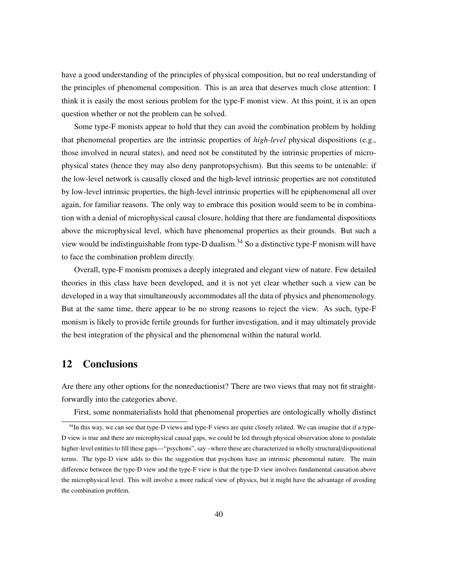have a good understanding of the principles of physical composition, but no real understanding of the principles of phenomenal composition. This is an area that deserves much close attention: I think it is easily the most serious problem for the type-F monist view. At this point, it is an open question whether or not the problem can be solved.

Some type-F monists appear to hold that they can avoid the combination problem by holding that phenomenal properties are the intrinsic properties of *high-level* physical dispositions (e.g., those involved in neural states), and need not be constituted by the intrinsic properties of microphysical states (hence they may also deny panprotopsychism). But this seems to be untenable: if the low-level network is causally closed and the high-level intrinsic properties are not constituted by low-level intrinsic properties, the high-level intrinsic properties will be epiphenomenal all over again, for familiar reasons. The only way to embrace this position would seem to be in combination with a denial of microphysical causal closure, holding that there are fundamental dispositions above the microphysical level, which have phenomenal properties as their grounds. But such a view would be indistinguishable from type-D dualism.<sup>34</sup> So a distinctive type-F monism will have to face the combination problem directly.

Overall, type-F monism promises a deeply integrated and elegant view of nature. Few detailed theories in this class have been developed, and it is not yet clear whether such a view can be developed in a way that simultaneously accommodates all the data of physics and phenomenology. But at the same time, there appear to be no strong reasons to reject the view. As such, type-F monism is likely to provide fertile grounds for further investigation, and it may ultimately provide the best integration of the physical and the phenomenal within the natural world.

## 12 Conclusions

Are there any other options for the nonreductionist? There are two views that may not fit straightforwardly into the categories above.

First, some nonmaterialists hold that phenomenal properties are ontologically wholly distinct

 $34$ In this way, we can see that type-D views and type-F views are quite closely related. We can imagine that if a type-D view is true and there are microphysical causal gaps, we could be led through physical observation alone to postulate higher-level entities to fill these gaps—"psychons", say –where these are characterized in wholly structural/dispositional terms. The type-D view adds to this the suggestion that psychons have an intrinsic phenomenal nature. The main difference between the type-D view and the type-F view is that the type-D view involves fundamental causation above the microphysical level. This will involve a more radical view of physics, but it might have the advantage of avoiding the combination problem.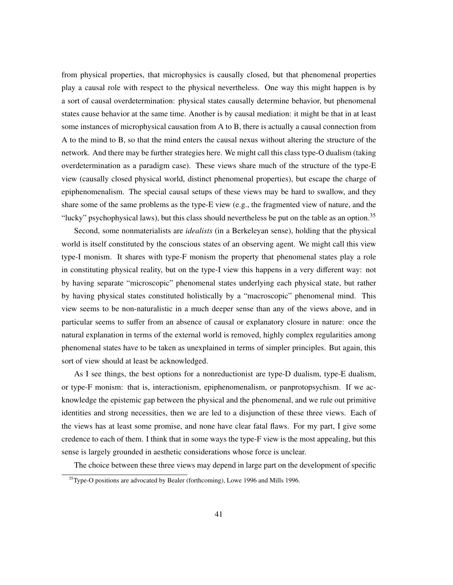from physical properties, that microphysics is causally closed, but that phenomenal properties play a causal role with respect to the physical nevertheless. One way this might happen is by a sort of causal overdetermination: physical states causally determine behavior, but phenomenal states cause behavior at the same time. Another is by causal mediation: it might be that in at least some instances of microphysical causation from A to B, there is actually a causal connection from A to the mind to B, so that the mind enters the causal nexus without altering the structure of the network. And there may be further strategies here. We might call this class type-O dualism (taking overdetermination as a paradigm case). These views share much of the structure of the type-E view (causally closed physical world, distinct phenomenal properties), but escape the charge of epiphenomenalism. The special causal setups of these views may be hard to swallow, and they share some of the same problems as the type-E view (e.g., the fragmented view of nature, and the "lucky" psychophysical laws), but this class should nevertheless be put on the table as an option. $35$ 

Second, some nonmaterialists are *idealists* (in a Berkeleyan sense), holding that the physical world is itself constituted by the conscious states of an observing agent. We might call this view type-I monism. It shares with type-F monism the property that phenomenal states play a role in constituting physical reality, but on the type-I view this happens in a very different way: not by having separate "microscopic" phenomenal states underlying each physical state, but rather by having physical states constituted holistically by a "macroscopic" phenomenal mind. This view seems to be non-naturalistic in a much deeper sense than any of the views above, and in particular seems to suffer from an absence of causal or explanatory closure in nature: once the natural explanation in terms of the external world is removed, highly complex regularities among phenomenal states have to be taken as unexplained in terms of simpler principles. But again, this sort of view should at least be acknowledged.

As I see things, the best options for a nonreductionist are type-D dualism, type-E dualism, or type-F monism: that is, interactionism, epiphenomenalism, or panprotopsychism. If we acknowledge the epistemic gap between the physical and the phenomenal, and we rule out primitive identities and strong necessities, then we are led to a disjunction of these three views. Each of the views has at least some promise, and none have clear fatal flaws. For my part, I give some credence to each of them. I think that in some ways the type-F view is the most appealing, but this sense is largely grounded in aesthetic considerations whose force is unclear.

The choice between these three views may depend in large part on the development of specific

 $35$ Type-O positions are advocated by Bealer (forthcoming), Lowe 1996 and Mills 1996.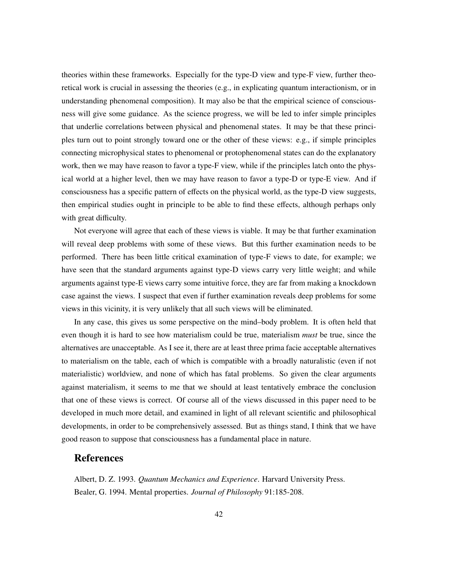theories within these frameworks. Especially for the type-D view and type-F view, further theoretical work is crucial in assessing the theories (e.g., in explicating quantum interactionism, or in understanding phenomenal composition). It may also be that the empirical science of consciousness will give some guidance. As the science progress, we will be led to infer simple principles that underlie correlations between physical and phenomenal states. It may be that these principles turn out to point strongly toward one or the other of these views: e.g., if simple principles connecting microphysical states to phenomenal or protophenomenal states can do the explanatory work, then we may have reason to favor a type-F view, while if the principles latch onto the physical world at a higher level, then we may have reason to favor a type-D or type-E view. And if consciousness has a specific pattern of effects on the physical world, as the type-D view suggests, then empirical studies ought in principle to be able to find these effects, although perhaps only with great difficulty.

Not everyone will agree that each of these views is viable. It may be that further examination will reveal deep problems with some of these views. But this further examination needs to be performed. There has been little critical examination of type-F views to date, for example; we have seen that the standard arguments against type-D views carry very little weight; and while arguments against type-E views carry some intuitive force, they are far from making a knockdown case against the views. I suspect that even if further examination reveals deep problems for some views in this vicinity, it is very unlikely that all such views will be eliminated.

In any case, this gives us some perspective on the mind–body problem. It is often held that even though it is hard to see how materialism could be true, materialism *must* be true, since the alternatives are unacceptable. As I see it, there are at least three prima facie acceptable alternatives to materialism on the table, each of which is compatible with a broadly naturalistic (even if not materialistic) worldview, and none of which has fatal problems. So given the clear arguments against materialism, it seems to me that we should at least tentatively embrace the conclusion that one of these views is correct. Of course all of the views discussed in this paper need to be developed in much more detail, and examined in light of all relevant scientific and philosophical developments, in order to be comprehensively assessed. But as things stand, I think that we have good reason to suppose that consciousness has a fundamental place in nature.

## References

Albert, D. Z. 1993. *Quantum Mechanics and Experience*. Harvard University Press. Bealer, G. 1994. Mental properties. *Journal of Philosophy* 91:185-208.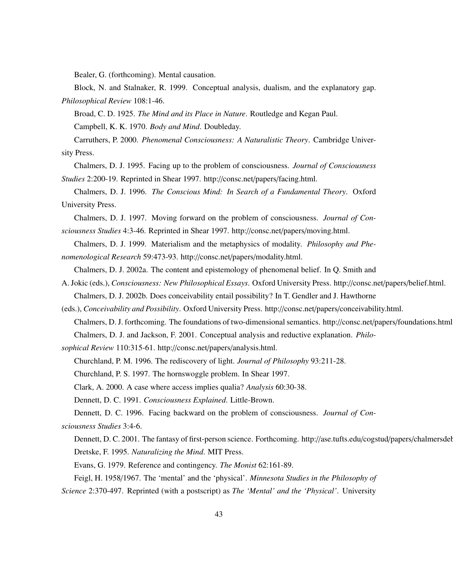Bealer, G. (forthcoming). Mental causation.

Block, N. and Stalnaker, R. 1999. Conceptual analysis, dualism, and the explanatory gap. *Philosophical Review* 108:1-46.

Broad, C. D. 1925. *The Mind and its Place in Nature*. Routledge and Kegan Paul.

Campbell, K. K. 1970. *Body and Mind*. Doubleday.

Carruthers, P. 2000. *Phenomenal Consciousness: A Naturalistic Theory*. Cambridge University Press.

Chalmers, D. J. 1995. Facing up to the problem of consciousness. *Journal of Consciousness Studies* 2:200-19. Reprinted in Shear 1997. http://consc.net/papers/facing.html.

Chalmers, D. J. 1996. *The Conscious Mind: In Search of a Fundamental Theory*. Oxford University Press.

Chalmers, D. J. 1997. Moving forward on the problem of consciousness. *Journal of Consciousness Studies* 4:3-46. Reprinted in Shear 1997. http://consc.net/papers/moving.html.

Chalmers, D. J. 1999. Materialism and the metaphysics of modality. *Philosophy and Phe-*

*nomenological Research* 59:473-93. http://consc.net/papers/modality.html.

Chalmers, D. J. 2002a. The content and epistemology of phenomenal belief. In Q. Smith and

A. Jokic (eds.), *Consciousness: New Philosophical Essays*. Oxford University Press. http://consc.net/papers/belief.html.

Chalmers, D. J. 2002b. Does conceivability entail possibility? In T. Gendler and J. Hawthorne

(eds.), *Conceivability and Possibility*. Oxford University Press. http://consc.net/papers/conceivability.html.

Chalmers, D. J. forthcoming. The foundations of two-dimensional semantics. http://consc.net/papers/foundations.html.

Chalmers, D. J. and Jackson, F. 2001. Conceptual analysis and reductive explanation. *Philo-*

*sophical Review* 110:315-61. http://consc.net/papers/analysis.html.

Churchland, P. M. 1996. The rediscovery of light. *Journal of Philosophy* 93:211-28.

Churchland, P. S. 1997. The hornswoggle problem. In Shear 1997.

Clark, A. 2000. A case where access implies qualia? *Analysis* 60:30-38.

Dennett, D. C. 1991. *Consciousness Explained*. Little-Brown.

Dennett, D. C. 1996. Facing backward on the problem of consciousness. *Journal of Con-*

*sciousness Studies* 3:4-6.

Dennett, D. C. 2001. The fantasy of first-person science. Forthcoming. http://ase.tufts.edu/cogstud/papers/chalmersdeb Dretske, F. 1995. *Naturalizing the Mind*. MIT Press.

Evans, G. 1979. Reference and contingency. *The Monist* 62:161-89.

Feigl, H. 1958/1967. The 'mental' and the 'physical'. *Minnesota Studies in the Philosophy of*

*Science* 2:370-497. Reprinted (with a postscript) as *The 'Mental' and the 'Physical'*. University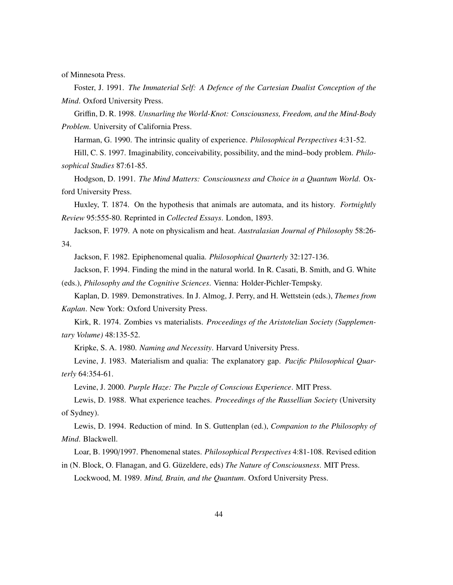of Minnesota Press.

Foster, J. 1991. *The Immaterial Self: A Defence of the Cartesian Dualist Conception of the Mind*. Oxford University Press.

Griffin, D. R. 1998. *Unsnarling the World-Knot: Consciousness, Freedom, and the Mind-Body Problem*. University of California Press.

Harman, G. 1990. The intrinsic quality of experience. *Philosophical Perspectives* 4:31-52.

Hill, C. S. 1997. Imaginability, conceivability, possibility, and the mind–body problem. *Philosophical Studies* 87:61-85.

Hodgson, D. 1991. *The Mind Matters: Consciousness and Choice in a Quantum World*. Oxford University Press.

Huxley, T. 1874. On the hypothesis that animals are automata, and its history. *Fortnightly Review* 95:555-80. Reprinted in *Collected Essays*. London, 1893.

Jackson, F. 1979. A note on physicalism and heat. *Australasian Journal of Philosophy* 58:26- 34.

Jackson, F. 1982. Epiphenomenal qualia. *Philosophical Quarterly* 32:127-136.

Jackson, F. 1994. Finding the mind in the natural world. In R. Casati, B. Smith, and G. White (eds.), *Philosophy and the Cognitive Sciences*. Vienna: Holder-Pichler-Tempsky.

Kaplan, D. 1989. Demonstratives. In J. Almog, J. Perry, and H. Wettstein (eds.), *Themes from Kaplan*. New York: Oxford University Press.

Kirk, R. 1974. Zombies vs materialists. *Proceedings of the Aristotelian Society (Supplementary Volume)* 48:135-52.

Kripke, S. A. 1980. *Naming and Necessity*. Harvard University Press.

Levine, J. 1983. Materialism and qualia: The explanatory gap. *Pacific Philosophical Quarterly* 64:354-61.

Levine, J. 2000. *Purple Haze: The Puzzle of Conscious Experience*. MIT Press.

Lewis, D. 1988. What experience teaches. *Proceedings of the Russellian Society* (University of Sydney).

Lewis, D. 1994. Reduction of mind. In S. Guttenplan (ed.), *Companion to the Philosophy of Mind*. Blackwell.

Loar, B. 1990/1997. Phenomenal states. *Philosophical Perspectives* 4:81-108. Revised edition in (N. Block, O. Flanagan, and G. Güzeldere, eds) *The Nature of Consciousness*. MIT Press.

Lockwood, M. 1989. *Mind, Brain, and the Quantum*. Oxford University Press.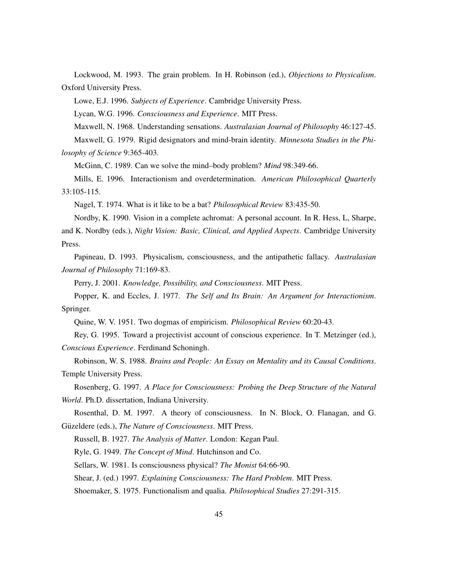Lockwood, M. 1993. The grain problem. In H. Robinson (ed.), *Objections to Physicalism*. Oxford University Press.

Lowe, E.J. 1996. *Subjects of Experience*. Cambridge University Press.

Lycan, W.G. 1996. *Consciousness and Experience*. MIT Press.

Maxwell, N. 1968. Understanding sensations. *Australasian Journal of Philosophy* 46:127-45.

Maxwell, G. 1979. Rigid designators and mind-brain identity. *Minnesota Studies in the Philosophy of Science* 9:365-403.

McGinn, C. 1989. Can we solve the mind–body problem? *Mind* 98:349-66.

Mills, E. 1996. Interactionism and overdetermination. *American Philosophical Quarterly* 33:105-115.

Nagel, T. 1974. What is it like to be a bat? *Philosophical Review* 83:435-50.

Nordby, K. 1990. Vision in a complete achromat: A personal account. In R. Hess, L, Sharpe, and K. Nordby (eds.), *Night Vision: Basic, Clinical, and Applied Aspects*. Cambridge University Press.

Papineau, D. 1993. Physicalism, consciousness, and the antipathetic fallacy. *Australasian Journal of Philosophy* 71:169-83.

Perry, J. 2001. *Knowledge, Possibility, and Consciousness*. MIT Press.

Popper, K. and Eccles, J. 1977. *The Self and Its Brain: An Argument for Interactionism*. Springer.

Quine, W. V. 1951. Two dogmas of empiricism. *Philosophical Review* 60:20-43.

Rey, G. 1995. Toward a projectivist account of conscious experience. In T. Metzinger (ed.), *Conscious Experience*. Ferdinand Schoningh.

Robinson, W. S. 1988. *Brains and People: An Essay on Mentality and its Causal Conditions*. Temple University Press.

Rosenberg, G. 1997. *A Place for Consciousness: Probing the Deep Structure of the Natural World*. Ph.D. dissertation, Indiana University.

Rosenthal, D. M. 1997. A theory of consciousness. In N. Block, O. Flanagan, and G. Güzeldere (eds.), The Nature of Consciousness. MIT Press.

Russell, B. 1927. *The Analysis of Matter*. London: Kegan Paul.

Ryle, G. 1949. *The Concept of Mind*. Hutchinson and Co.

Sellars, W. 1981. Is consciousness physical? *The Monist* 64:66-90.

Shear, J. (ed.) 1997. *Explaining Consciousness: The Hard Problem*. MIT Press.

Shoemaker, S. 1975. Functionalism and qualia. *Philosophical Studies* 27:291-315.